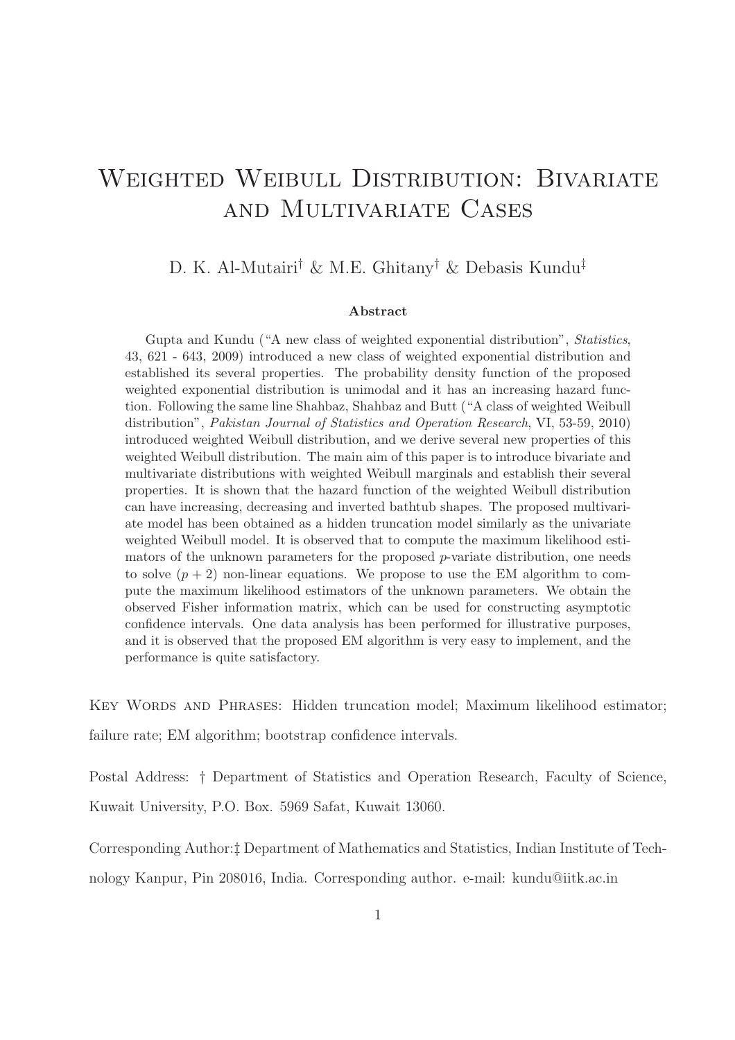# WEIGHTED WEIBULL DISTRIBUTION: BIVARIATE and Multivariate Cases

#### D. K. Al-Mutairi† & M.E. Ghitany† & Debasis Kundu‡

#### Abstract

Gupta and Kundu ("A new class of weighted exponential distribution", Statistics, 43, 621 - 643, 2009) introduced a new class of weighted exponential distribution and established its several properties. The probability density function of the proposed weighted exponential distribution is unimodal and it has an increasing hazard function. Following the same line Shahbaz, Shahbaz and Butt ("A class of weighted Weibull distribution", Pakistan Journal of Statistics and Operation Research, VI, 53-59, 2010) introduced weighted Weibull distribution, and we derive several new properties of this weighted Weibull distribution. The main aim of this paper is to introduce bivariate and multivariate distributions with weighted Weibull marginals and establish their several properties. It is shown that the hazard function of the weighted Weibull distribution can have increasing, decreasing and inverted bathtub shapes. The proposed multivariate model has been obtained as a hidden truncation model similarly as the univariate weighted Weibull model. It is observed that to compute the maximum likelihood estimators of the unknown parameters for the proposed  $p$ -variate distribution, one needs to solve  $(p+2)$  non-linear equations. We propose to use the EM algorithm to compute the maximum likelihood estimators of the unknown parameters. We obtain the observed Fisher information matrix, which can be used for constructing asymptotic confidence intervals. One data analysis has been performed for illustrative purposes, and it is observed that the proposed EM algorithm is very easy to implement, and the performance is quite satisfactory.

Key Words and Phrases: Hidden truncation model; Maximum likelihood estimator; failure rate; EM algorithm; bootstrap confidence intervals.

Postal Address: † Department of Statistics and Operation Research, Faculty of Science, Kuwait University, P.O. Box. 5969 Safat, Kuwait 13060.

Corresponding Author:‡ Department of Mathematics and Statistics, Indian Institute of Technology Kanpur, Pin 208016, India. Corresponding author. e-mail: kundu@iitk.ac.in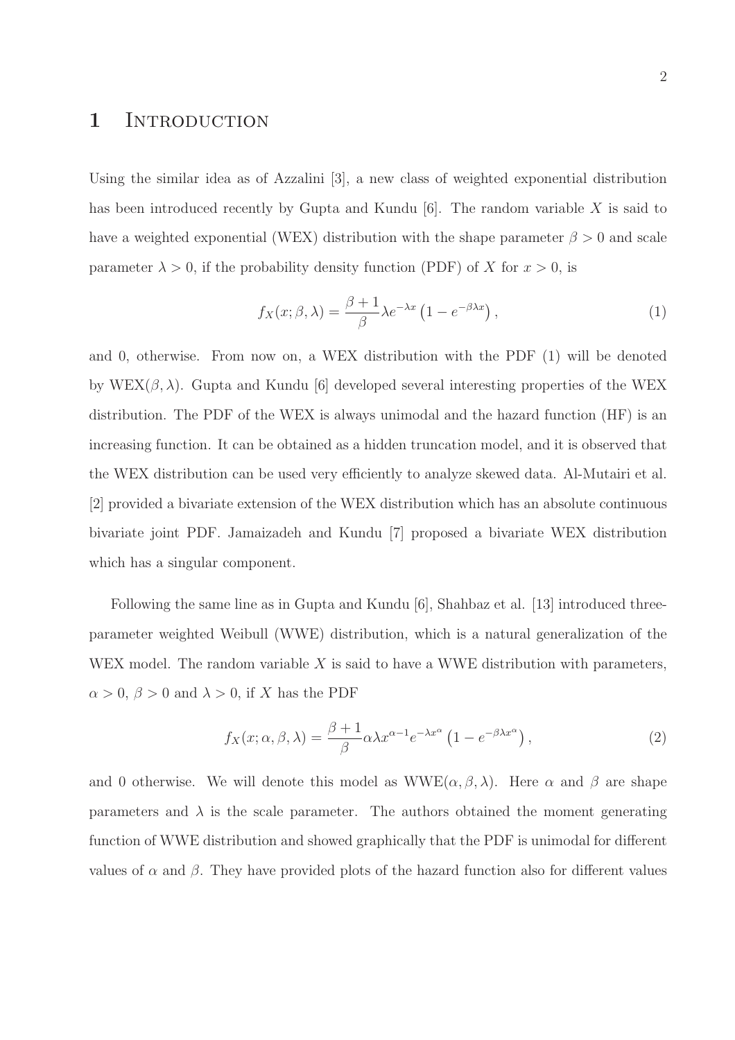#### 1 INTRODUCTION

Using the similar idea as of Azzalini [3], a new class of weighted exponential distribution has been introduced recently by Gupta and Kundu  $[6]$ . The random variable X is said to have a weighted exponential (WEX) distribution with the shape parameter  $\beta > 0$  and scale parameter  $\lambda > 0$ , if the probability density function (PDF) of X for  $x > 0$ , is

$$
f_X(x; \beta, \lambda) = \frac{\beta + 1}{\beta} \lambda e^{-\lambda x} \left( 1 - e^{-\beta \lambda x} \right), \tag{1}
$$

and 0, otherwise. From now on, a WEX distribution with the PDF (1) will be denoted by WEX $(\beta, \lambda)$ . Gupta and Kundu [6] developed several interesting properties of the WEX distribution. The PDF of the WEX is always unimodal and the hazard function (HF) is an increasing function. It can be obtained as a hidden truncation model, and it is observed that the WEX distribution can be used very efficiently to analyze skewed data. Al-Mutairi et al. [2] provided a bivariate extension of the WEX distribution which has an absolute continuous bivariate joint PDF. Jamaizadeh and Kundu [7] proposed a bivariate WEX distribution which has a singular component.

Following the same line as in Gupta and Kundu [6], Shahbaz et al. [13] introduced threeparameter weighted Weibull (WWE) distribution, which is a natural generalization of the WEX model. The random variable  $X$  is said to have a WWE distribution with parameters,  $\alpha > 0$ ,  $\beta > 0$  and  $\lambda > 0$ , if X has the PDF

$$
f_X(x; \alpha, \beta, \lambda) = \frac{\beta + 1}{\beta} \alpha \lambda x^{\alpha - 1} e^{-\lambda x^{\alpha}} \left( 1 - e^{-\beta \lambda x^{\alpha}} \right),
$$
 (2)

and 0 otherwise. We will denote this model as  $WWE(\alpha, \beta, \lambda)$ . Here  $\alpha$  and  $\beta$  are shape parameters and  $\lambda$  is the scale parameter. The authors obtained the moment generating function of WWE distribution and showed graphically that the PDF is unimodal for different values of  $\alpha$  and  $\beta$ . They have provided plots of the hazard function also for different values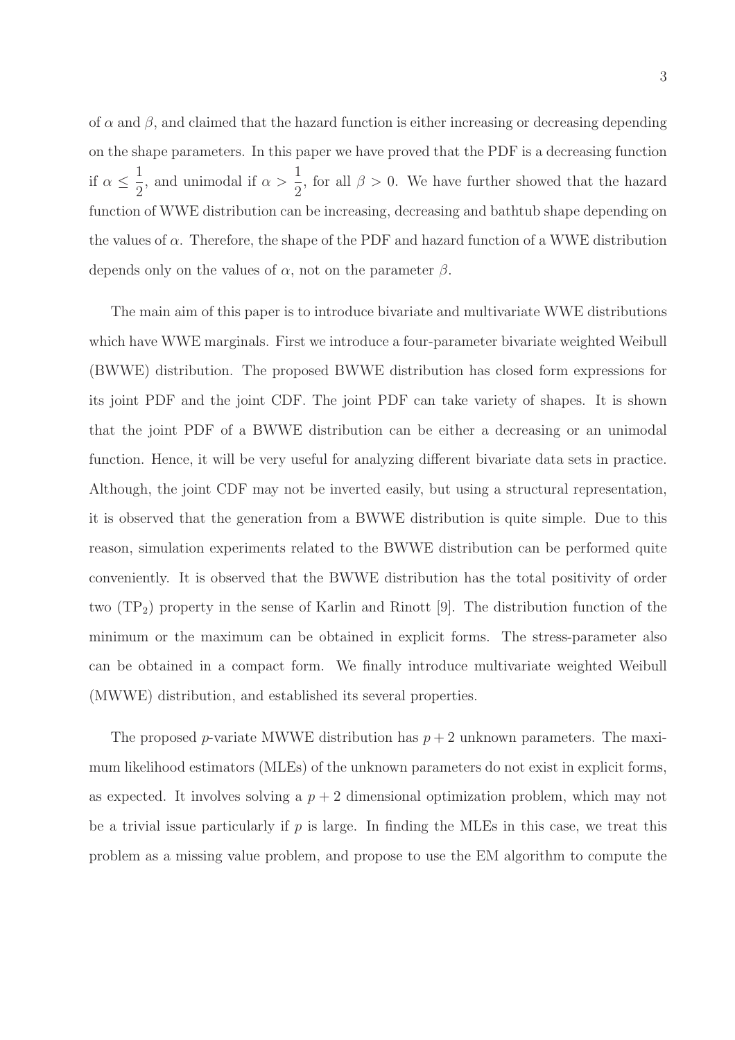of  $\alpha$  and  $\beta$ , and claimed that the hazard function is either increasing or decreasing depending on the shape parameters. In this paper we have proved that the PDF is a decreasing function if  $\alpha \leq$ 1 2 , and unimodal if  $\alpha >$ 1 2 , for all  $\beta > 0$ . We have further showed that the hazard function of WWE distribution can be increasing, decreasing and bathtub shape depending on the values of  $\alpha$ . Therefore, the shape of the PDF and hazard function of a WWE distribution depends only on the values of  $\alpha$ , not on the parameter  $\beta$ .

The main aim of this paper is to introduce bivariate and multivariate WWE distributions which have WWE marginals. First we introduce a four-parameter bivariate weighted Weibull (BWWE) distribution. The proposed BWWE distribution has closed form expressions for its joint PDF and the joint CDF. The joint PDF can take variety of shapes. It is shown that the joint PDF of a BWWE distribution can be either a decreasing or an unimodal function. Hence, it will be very useful for analyzing different bivariate data sets in practice. Although, the joint CDF may not be inverted easily, but using a structural representation, it is observed that the generation from a BWWE distribution is quite simple. Due to this reason, simulation experiments related to the BWWE distribution can be performed quite conveniently. It is observed that the BWWE distribution has the total positivity of order two  $(TP_2)$  property in the sense of Karlin and Rinott [9]. The distribution function of the minimum or the maximum can be obtained in explicit forms. The stress-parameter also can be obtained in a compact form. We finally introduce multivariate weighted Weibull (MWWE) distribution, and established its several properties.

The proposed p-variate MWWE distribution has  $p + 2$  unknown parameters. The maximum likelihood estimators (MLEs) of the unknown parameters do not exist in explicit forms, as expected. It involves solving a  $p + 2$  dimensional optimization problem, which may not be a trivial issue particularly if  $p$  is large. In finding the MLEs in this case, we treat this problem as a missing value problem, and propose to use the EM algorithm to compute the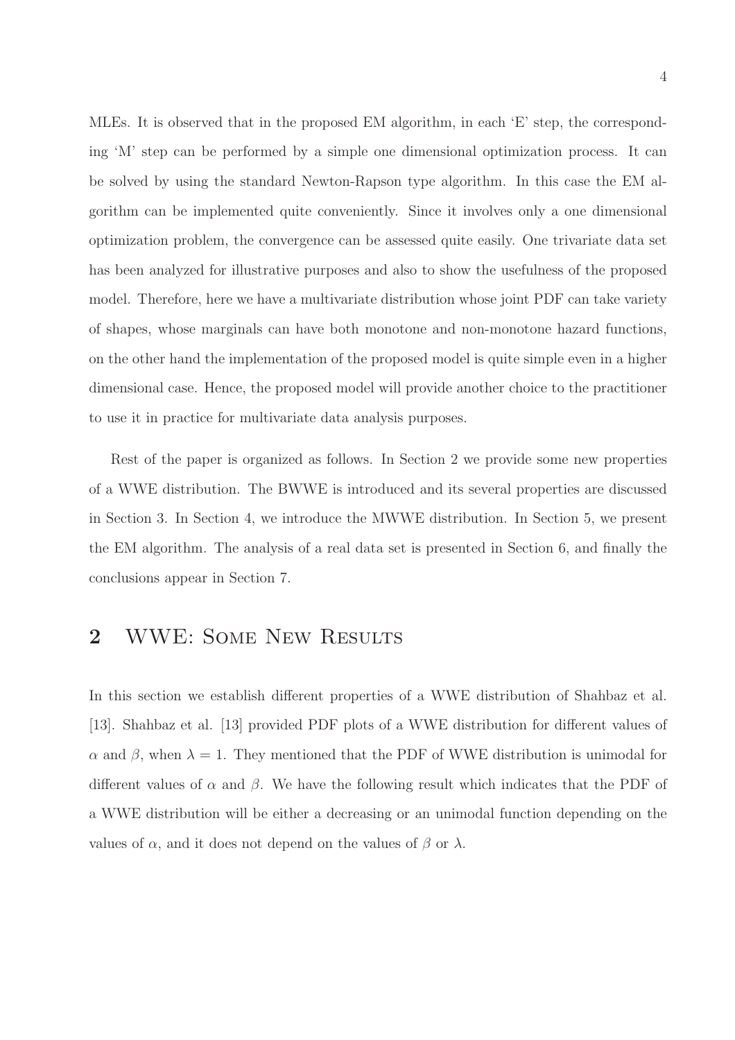MLEs. It is observed that in the proposed EM algorithm, in each 'E' step, the corresponding 'M' step can be performed by a simple one dimensional optimization process. It can be solved by using the standard Newton-Rapson type algorithm. In this case the EM algorithm can be implemented quite conveniently. Since it involves only a one dimensional optimization problem, the convergence can be assessed quite easily. One trivariate data set has been analyzed for illustrative purposes and also to show the usefulness of the proposed model. Therefore, here we have a multivariate distribution whose joint PDF can take variety of shapes, whose marginals can have both monotone and non-monotone hazard functions, on the other hand the implementation of the proposed model is quite simple even in a higher dimensional case. Hence, the proposed model will provide another choice to the practitioner to use it in practice for multivariate data analysis purposes.

Rest of the paper is organized as follows. In Section 2 we provide some new properties of a WWE distribution. The BWWE is introduced and its several properties are discussed in Section 3. In Section 4, we introduce the MWWE distribution. In Section 5, we present the EM algorithm. The analysis of a real data set is presented in Section 6, and finally the conclusions appear in Section 7.

#### 2 WWE: Some New Results

In this section we establish different properties of a WWE distribution of Shahbaz et al. [13]. Shahbaz et al. [13] provided PDF plots of a WWE distribution for different values of α and β, when  $\lambda = 1$ . They mentioned that the PDF of WWE distribution is unimodal for different values of  $\alpha$  and  $\beta$ . We have the following result which indicates that the PDF of a WWE distribution will be either a decreasing or an unimodal function depending on the values of  $\alpha$ , and it does not depend on the values of  $\beta$  or  $\lambda$ .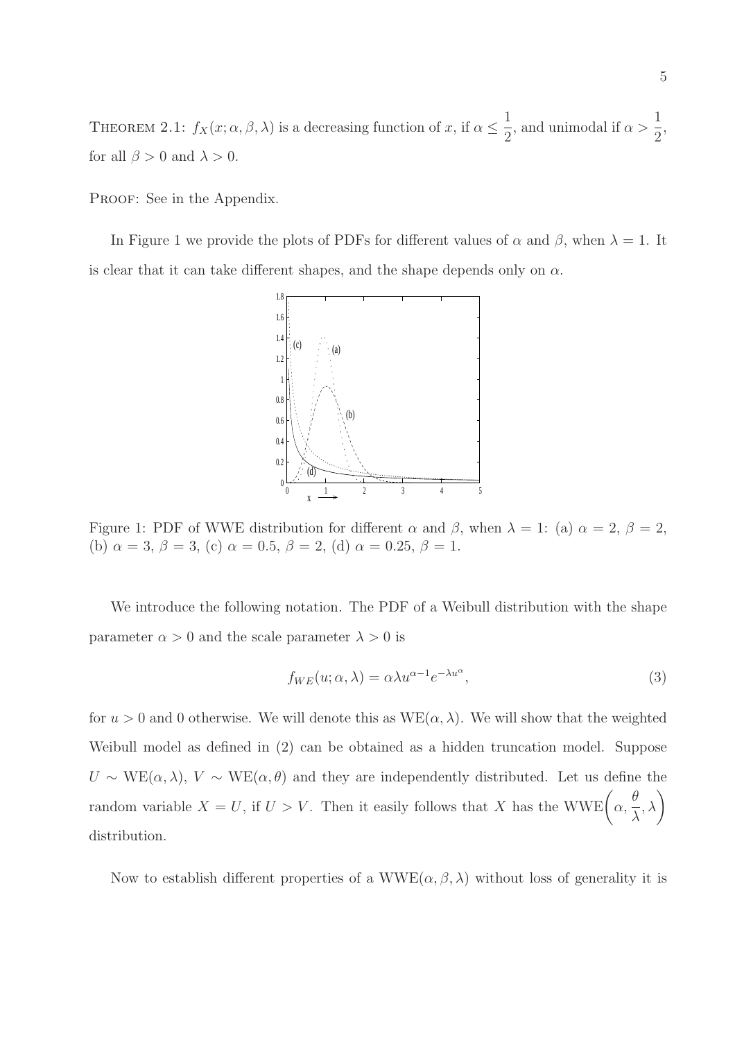THEOREM 2.1:  $f_X(x; \alpha, \beta, \lambda)$  is a decreasing function of x, if  $\alpha \leq \frac{1}{2}$ 2 , and unimodal if  $\alpha >$ 1 2 , for all  $\beta > 0$  and  $\lambda > 0$ .

PROOF: See in the Appendix.

In Figure 1 we provide the plots of PDFs for different values of  $\alpha$  and  $\beta$ , when  $\lambda = 1$ . It is clear that it can take different shapes, and the shape depends only on  $\alpha$ .



Figure 1: PDF of WWE distribution for different  $\alpha$  and  $\beta$ , when  $\lambda = 1$ : (a)  $\alpha = 2$ ,  $\beta = 2$ , (b)  $\alpha = 3, \beta = 3$ , (c)  $\alpha = 0.5, \beta = 2$ , (d)  $\alpha = 0.25, \beta = 1$ .

We introduce the following notation. The PDF of a Weibull distribution with the shape parameter  $\alpha > 0$  and the scale parameter  $\lambda > 0$  is

$$
f_{WE}(u; \alpha, \lambda) = \alpha \lambda u^{\alpha - 1} e^{-\lambda u^{\alpha}}, \qquad (3)
$$

for  $u > 0$  and 0 otherwise. We will denote this as  $WE(\alpha, \lambda)$ . We will show that the weighted Weibull model as defined in (2) can be obtained as a hidden truncation model. Suppose  $U \sim \text{WE}(\alpha, \lambda), V \sim \text{WE}(\alpha, \theta)$  and they are independently distributed. Let us define the random variable  $X = U$ , if  $U > V$ . Then it easily follows that X has the WWE $\left( \alpha, \right)$ θ λ  $\lambda$ distribution.

Now to establish different properties of a WWE( $\alpha$ ,  $\beta$ ,  $\lambda$ ) without loss of generality it is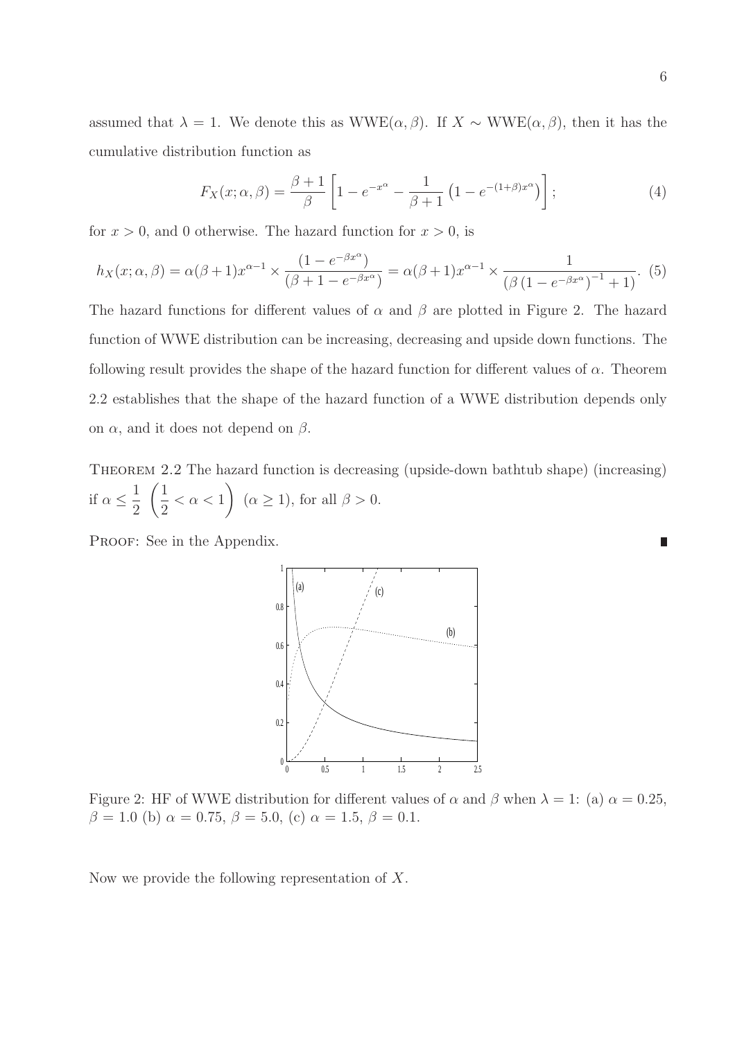assumed that  $\lambda = 1$ . We denote this as WWE( $\alpha, \beta$ ). If  $X \sim WWE(\alpha, \beta)$ , then it has the cumulative distribution function as

$$
F_X(x; \alpha, \beta) = \frac{\beta + 1}{\beta} \left[ 1 - e^{-x^{\alpha}} - \frac{1}{\beta + 1} \left( 1 - e^{-(1+\beta)x^{\alpha}} \right) \right];
$$
 (4)

for  $x > 0$ , and 0 otherwise. The hazard function for  $x > 0$ , is

$$
h_X(x; \alpha, \beta) = \alpha(\beta + 1)x^{\alpha - 1} \times \frac{(1 - e^{-\beta x^{\alpha}})}{(\beta + 1 - e^{-\beta x^{\alpha}})} = \alpha(\beta + 1)x^{\alpha - 1} \times \frac{1}{(\beta(1 - e^{-\beta x^{\alpha}})^{-1} + 1)}.
$$
(5)

The hazard functions for different values of  $\alpha$  and  $\beta$  are plotted in Figure 2. The hazard function of WWE distribution can be increasing, decreasing and upside down functions. The following result provides the shape of the hazard function for different values of  $\alpha$ . Theorem 2.2 establishes that the shape of the hazard function of a WWE distribution depends only on  $\alpha$ , and it does not depend on  $\beta$ .

THEOREM 2.2 The hazard function is decreasing (upside-down bathtub shape) (increasing) if  $\alpha \leq$ 1 2  $(1)$ 2  $< \alpha < 1$  $\setminus$  $(\alpha \geq 1)$ , for all  $\beta > 0$ .

PROOF: See in the Appendix.



Figure 2: HF of WWE distribution for different values of  $\alpha$  and  $\beta$  when  $\lambda = 1$ : (a)  $\alpha = 0.25$ ,  $\beta = 1.0$  (b)  $\alpha = 0.75$ ,  $\beta = 5.0$ , (c)  $\alpha = 1.5$ ,  $\beta = 0.1$ .

Now we provide the following representation of X.

П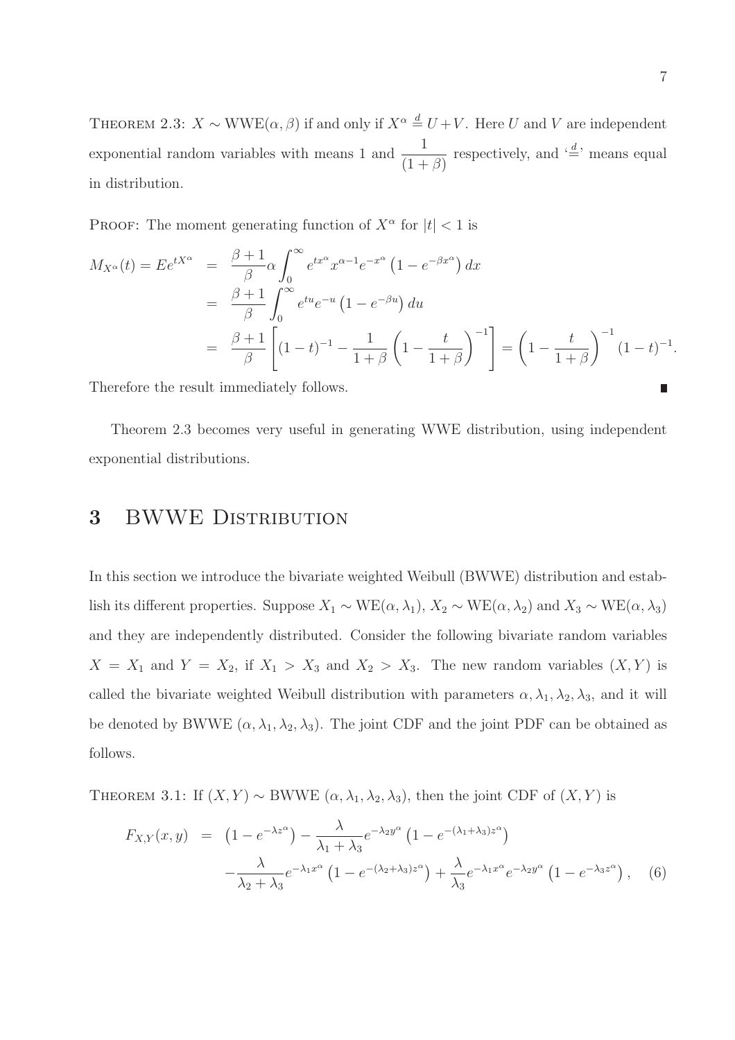THEOREM 2.3:  $X \sim WWE(\alpha, \beta)$  if and only if  $X^{\alpha} \stackrel{d}{=} U + V$ . Here U and V are independent exponential random variables with means 1 and  $\frac{1}{1}$  $(1+\beta)$ respectively, and  $\stackrel{\cdot d}{=}$  means equal in distribution.

**PROOF:** The moment generating function of  $X^{\alpha}$  for  $|t| < 1$  is

$$
M_{X^{\alpha}}(t) = E e^{tX^{\alpha}} = \frac{\beta + 1}{\beta} \alpha \int_0^{\infty} e^{tx^{\alpha}} x^{\alpha - 1} e^{-x^{\alpha}} (1 - e^{-\beta x^{\alpha}}) dx
$$
  
=  $\frac{\beta + 1}{\beta} \int_0^{\infty} e^{tu} e^{-u} (1 - e^{-\beta u}) du$   
=  $\frac{\beta + 1}{\beta} \left[ (1 - t)^{-1} - \frac{1}{1 + \beta} \left( 1 - \frac{t}{1 + \beta} \right)^{-1} \right] = \left( 1 - \frac{t}{1 + \beta} \right)^{-1} (1 - t)^{-1}.$ 

Therefore the result immediately follows.

Theorem 2.3 becomes very useful in generating WWE distribution, using independent exponential distributions.

#### 3 BWWE DISTRIBUTION

In this section we introduce the bivariate weighted Weibull (BWWE) distribution and establish its different properties. Suppose  $X_1 \sim \text{WE}(\alpha, \lambda_1)$ ,  $X_2 \sim \text{WE}(\alpha, \lambda_2)$  and  $X_3 \sim \text{WE}(\alpha, \lambda_3)$ and they are independently distributed. Consider the following bivariate random variables  $X = X_1$  and  $Y = X_2$ , if  $X_1 > X_3$  and  $X_2 > X_3$ . The new random variables  $(X, Y)$  is called the bivariate weighted Weibull distribution with parameters  $\alpha, \lambda_1, \lambda_2, \lambda_3$ , and it will be denoted by BWWE  $(\alpha, \lambda_1, \lambda_2, \lambda_3)$ . The joint CDF and the joint PDF can be obtained as follows.

THEOREM 3.1: If  $(X, Y) \sim$  BWWE  $(\alpha, \lambda_1, \lambda_2, \lambda_3)$ , then the joint CDF of  $(X, Y)$  is

$$
F_{X,Y}(x,y) = \left(1 - e^{-\lambda z^{\alpha}}\right) - \frac{\lambda}{\lambda_1 + \lambda_3} e^{-\lambda_2 y^{\alpha}} \left(1 - e^{-(\lambda_1 + \lambda_3)z^{\alpha}}\right)
$$

$$
-\frac{\lambda}{\lambda_2 + \lambda_3} e^{-\lambda_1 x^{\alpha}} \left(1 - e^{-(\lambda_2 + \lambda_3)z^{\alpha}}\right) + \frac{\lambda}{\lambda_3} e^{-\lambda_1 x^{\alpha}} e^{-\lambda_2 y^{\alpha}} \left(1 - e^{-\lambda_3 z^{\alpha}}\right), \quad (6)
$$

Π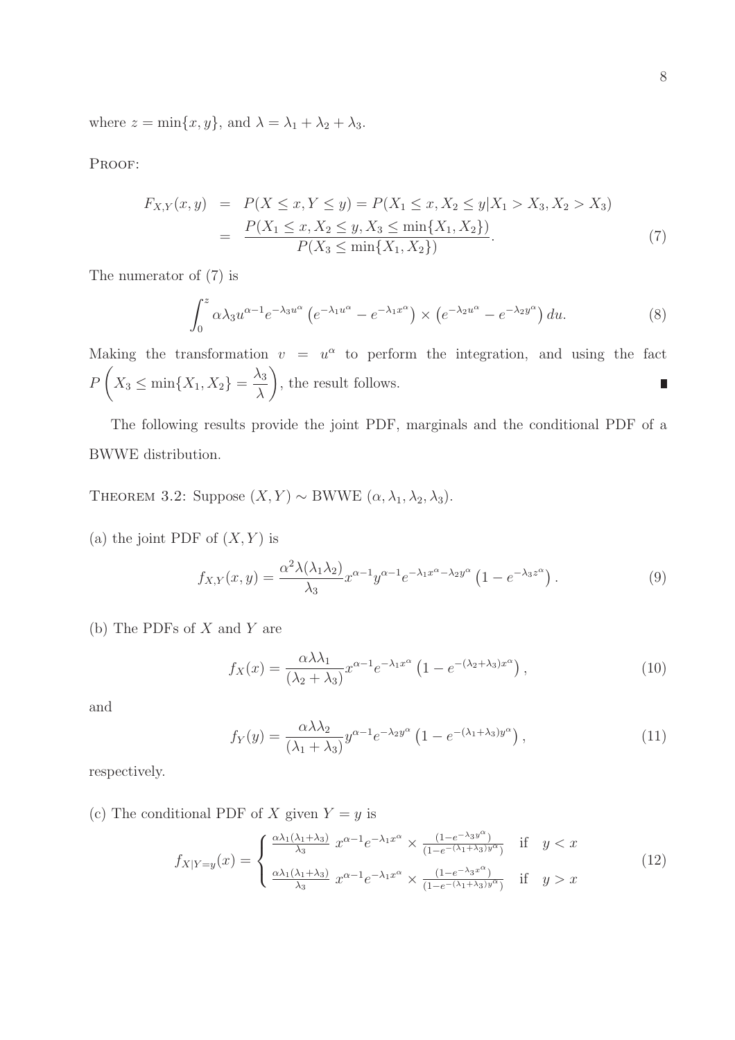where  $z = \min\{x, y\}$ , and  $\lambda = \lambda_1 + \lambda_2 + \lambda_3$ .

PROOF:

$$
F_{X,Y}(x,y) = P(X \le x, Y \le y) = P(X_1 \le x, X_2 \le y | X_1 > X_3, X_2 > X_3)
$$
  
= 
$$
\frac{P(X_1 \le x, X_2 \le y, X_3 \le \min\{X_1, X_2\})}{P(X_3 \le \min\{X_1, X_2\})}.
$$
 (7)

The numerator of (7) is

$$
\int_0^z \alpha \lambda_3 u^{\alpha - 1} e^{-\lambda_3 u^{\alpha}} \left( e^{-\lambda_1 u^{\alpha}} - e^{-\lambda_1 x^{\alpha}} \right) \times \left( e^{-\lambda_2 u^{\alpha}} - e^{-\lambda_2 y^{\alpha}} \right) du. \tag{8}
$$

Making the transformation  $v = u^{\alpha}$  to perform the integration, and using the fact  $\sqrt{ }$  $\setminus$  $\lambda_3$ P  $X_3 \leq \min\{X_1, X_2\}$  = , the result follows.  $\blacksquare$ λ

The following results provide the joint PDF, marginals and the conditional PDF of a BWWE distribution.

THEOREM 3.2: Suppose  $(X, Y) \sim$  BWWE  $(\alpha, \lambda_1, \lambda_2, \lambda_3)$ .

(a) the joint PDF of  $(X, Y)$  is

$$
f_{X,Y}(x,y) = \frac{\alpha^2 \lambda(\lambda_1 \lambda_2)}{\lambda_3} x^{\alpha - 1} y^{\alpha - 1} e^{-\lambda_1 x^{\alpha} - \lambda_2 y^{\alpha}} \left( 1 - e^{-\lambda_3 z^{\alpha}} \right).
$$
 (9)

(b) The PDFs of X and Y are

$$
f_X(x) = \frac{\alpha \lambda \lambda_1}{(\lambda_2 + \lambda_3)} x^{\alpha - 1} e^{-\lambda_1 x^{\alpha}} \left( 1 - e^{-(\lambda_2 + \lambda_3)x^{\alpha}} \right),
$$
\n(10)

and

$$
f_Y(y) = \frac{\alpha \lambda \lambda_2}{(\lambda_1 + \lambda_3)} y^{\alpha - 1} e^{-\lambda_2 y^{\alpha}} \left( 1 - e^{-(\lambda_1 + \lambda_3)y^{\alpha}} \right), \qquad (11)
$$

respectively.

(c) The conditional PDF of X given  $Y = y$  is

$$
f_{X|Y=y}(x) = \begin{cases} \frac{\alpha\lambda_1(\lambda_1+\lambda_3)}{\lambda_3} x^{\alpha-1} e^{-\lambda_1 x^{\alpha}} \times \frac{(1-e^{-\lambda_3 y^{\alpha}})}{(1-e^{-(\lambda_1+\lambda_3)y^{\alpha}})} & \text{if } y < x\\ \frac{\alpha\lambda_1(\lambda_1+\lambda_3)}{\lambda_3} x^{\alpha-1} e^{-\lambda_1 x^{\alpha}} \times \frac{(1-e^{-\lambda_3 x^{\alpha}})}{(1-e^{-(\lambda_1+\lambda_3)y^{\alpha}})} & \text{if } y > x \end{cases}
$$
(12)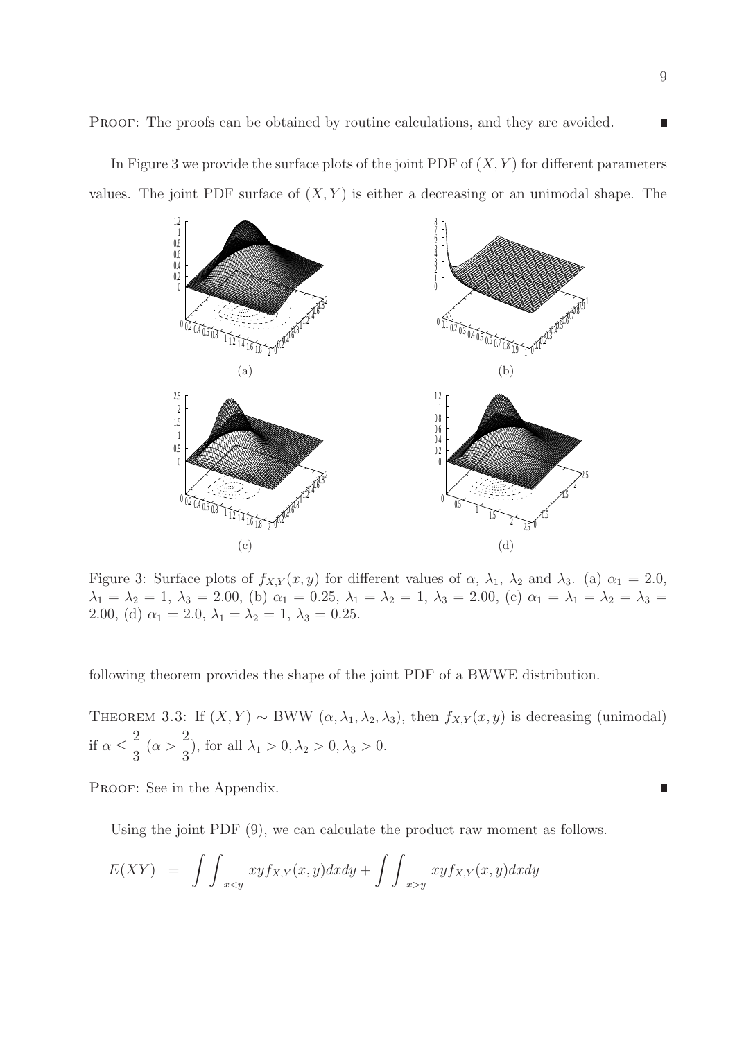In Figure 3 we provide the surface plots of the joint PDF of  $(X, Y)$  for different parameters values. The joint PDF surface of  $(X, Y)$  is either a decreasing or an unimodal shape. The



Figure 3: Surface plots of  $f_{X,Y}(x, y)$  for different values of  $\alpha$ ,  $\lambda_1$ ,  $\lambda_2$  and  $\lambda_3$ . (a)  $\alpha_1 = 2.0$ ,  $\lambda_1 = \lambda_2 = 1, \ \lambda_3 = 2.00, \ (b) \ \alpha_1 = 0.25, \ \lambda_1 = \lambda_2 = 1, \ \lambda_3 = 2.00, \ (c) \ \alpha_1 = \lambda_1 = \lambda_2 = \lambda_3 =$ 2.00, (d)  $\alpha_1 = 2.0, \lambda_1 = \lambda_2 = 1, \lambda_3 = 0.25.$ 

following theorem provides the shape of the joint PDF of a BWWE distribution.

THEOREM 3.3: If  $(X, Y) \sim$  BWW  $(\alpha, \lambda_1, \lambda_2, \lambda_3)$ , then  $f_{X,Y}(x, y)$  is decreasing (unimodal) if  $\alpha \leq$ 2 3  $(\alpha >$ 2  $(\frac{1}{3})$ , for all  $\lambda_1 > 0, \lambda_2 > 0, \lambda_3 > 0$ .

PROOF: See in the Appendix.

Using the joint PDF (9), we can calculate the product raw moment as follows.

$$
E(XY) = \int \int_{xy} xy f_{X,Y}(x,y) dx dy
$$

П

П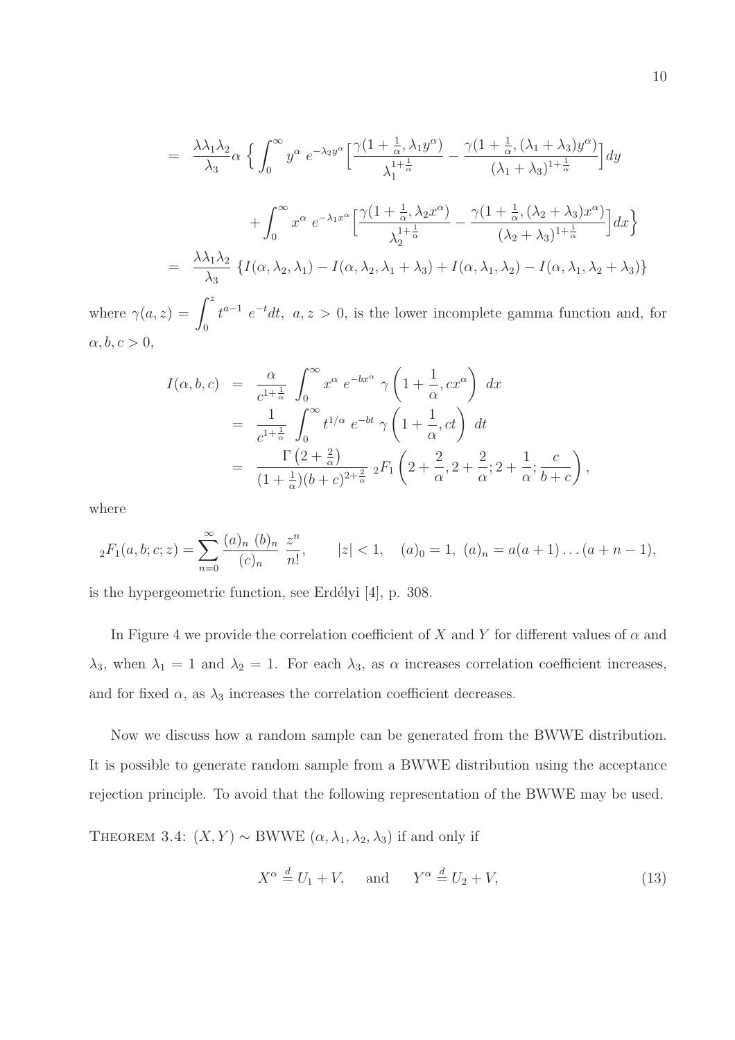$$
= \frac{\lambda \lambda_1 \lambda_2}{\lambda_3} \alpha \left\{ \int_0^\infty y^\alpha e^{-\lambda_2 y^\alpha} \left[ \frac{\gamma (1 + \frac{1}{\alpha}, \lambda_1 y^\alpha)}{\lambda_1^{1 + \frac{1}{\alpha}}} - \frac{\gamma (1 + \frac{1}{\alpha}, (\lambda_1 + \lambda_3) y^\alpha)}{(\lambda_1 + \lambda_3)^{1 + \frac{1}{\alpha}}} \right] dy \right\}
$$
  
+ 
$$
\int_0^\infty x^\alpha e^{-\lambda_1 x^\alpha} \left[ \frac{\gamma (1 + \frac{1}{\alpha}, \lambda_2 x^\alpha)}{\lambda_2^{1 + \frac{1}{\alpha}}} - \frac{\gamma (1 + \frac{1}{\alpha}, (\lambda_2 + \lambda_3) x^\alpha)}{(\lambda_2 + \lambda_3)^{1 + \frac{1}{\alpha}}} \right] dx \right\}
$$
  
= 
$$
\frac{\lambda \lambda_1 \lambda_2}{\lambda_3} \left\{ I(\alpha, \lambda_2, \lambda_1) - I(\alpha, \lambda_2, \lambda_1 + \lambda_3) + I(\alpha, \lambda_1, \lambda_2) - I(\alpha, \lambda_1, \lambda_2 + \lambda_3) \right\}
$$
  

$$
f^z
$$

where  $\gamma(a, z) = \int^z$ 0  $t^{a-1}$   $e^{-t}dt$ ,  $a, z > 0$ , is the lower incomplete gamma function and, for  $\alpha, b, c > 0,$ 

$$
I(\alpha, b, c) = \frac{\alpha}{c^{1+\frac{1}{\alpha}}} \int_0^{\infty} x^{\alpha} e^{-bx^{\alpha}} \gamma \left(1 + \frac{1}{\alpha}, cx^{\alpha}\right) dx
$$
  
\n
$$
= \frac{1}{c^{1+\frac{1}{\alpha}}} \int_0^{\infty} t^{1/\alpha} e^{-bt} \gamma \left(1 + \frac{1}{\alpha}, ct\right) dt
$$
  
\n
$$
= \frac{\Gamma(2+\frac{2}{\alpha})}{(1+\frac{1}{\alpha})(b+c)^{2+\frac{2}{\alpha}}} {}_2F_1\left(2 + \frac{2}{\alpha}, 2 + \frac{2}{\alpha}; 2 + \frac{1}{\alpha}; \frac{c}{b+c}\right),
$$

where

$$
{}_2F_1(a,b;c;z) = \sum_{n=0}^{\infty} \frac{(a)_n (b)_n}{(c)_n} \frac{z^n}{n!}, \qquad |z| < 1, \quad (a)_0 = 1, \ (a)_n = a(a+1)\dots(a+n-1),
$$

is the hypergeometric function, see Erdélyi  $[4]$ , p. 308.

In Figure 4 we provide the correlation coefficient of X and Y for different values of  $\alpha$  and  $\lambda_3$ , when  $\lambda_1 = 1$  and  $\lambda_2 = 1$ . For each  $\lambda_3$ , as  $\alpha$  increases correlation coefficient increases, and for fixed  $\alpha$ , as  $\lambda_3$  increases the correlation coefficient decreases.

Now we discuss how a random sample can be generated from the BWWE distribution. It is possible to generate random sample from a BWWE distribution using the acceptance rejection principle. To avoid that the following representation of the BWWE may be used.

THEOREM 3.4:  $(X, Y) \sim$  BWWE  $(\alpha, \lambda_1, \lambda_2, \lambda_3)$  if and only if

$$
X^{\alpha} \stackrel{d}{=} U_1 + V, \quad \text{and} \quad Y^{\alpha} \stackrel{d}{=} U_2 + V,
$$
 (13)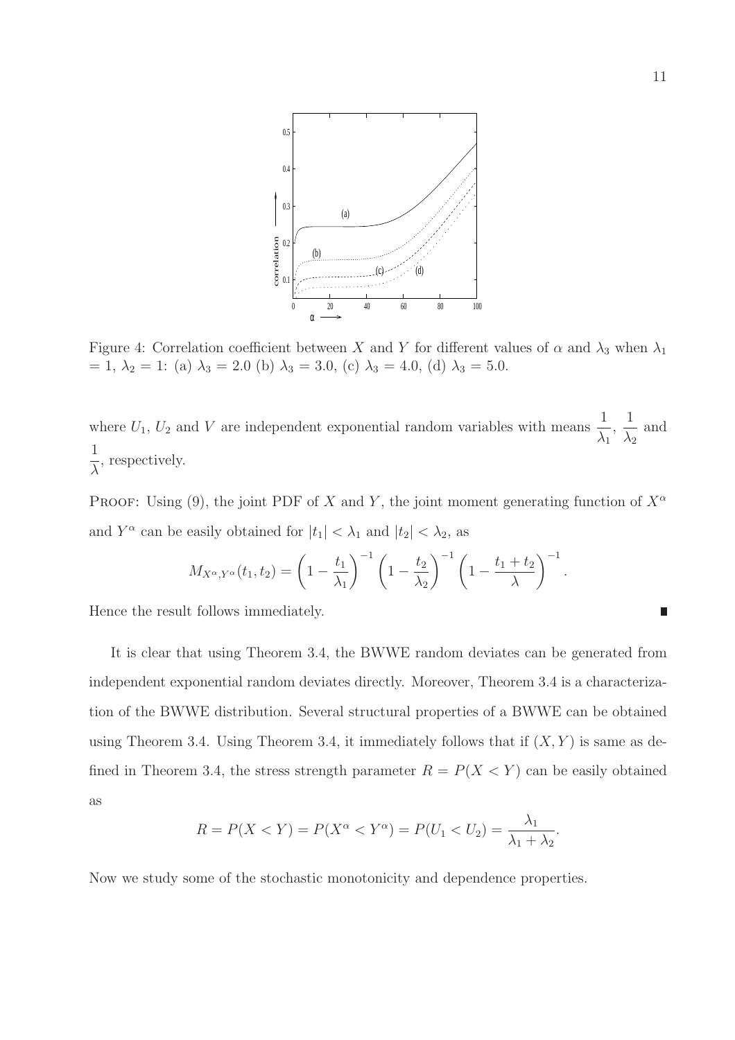

Figure 4: Correlation coefficient between X and Y for different values of  $\alpha$  and  $\lambda_3$  when  $\lambda_1$ = 1,  $\lambda_2$  = 1: (a)  $\lambda_3$  = 2.0 (b)  $\lambda_3$  = 3.0, (c)  $\lambda_3$  = 4.0, (d)  $\lambda_3$  = 5.0.

where  $U_1, U_2$  and V are independent exponential random variables with means  $\frac{1}{1}$  $\lambda_1$ , 1  $\lambda_2$ and 1 λ , respectively.

PROOF: Using (9), the joint PDF of X and Y, the joint moment generating function of  $X^{\alpha}$ and  $Y^{\alpha}$  can be easily obtained for  $|t_1| < \lambda_1$  and  $|t_2| < \lambda_2$ , as

$$
M_{X^{\alpha}, Y^{\alpha}}(t_1, t_2) = \left(1 - \frac{t_1}{\lambda_1}\right)^{-1} \left(1 - \frac{t_2}{\lambda_2}\right)^{-1} \left(1 - \frac{t_1 + t_2}{\lambda}\right)^{-1}.
$$

Hence the result follows immediately.

It is clear that using Theorem 3.4, the BWWE random deviates can be generated from independent exponential random deviates directly. Moreover, Theorem 3.4 is a characterization of the BWWE distribution. Several structural properties of a BWWE can be obtained using Theorem 3.4. Using Theorem 3.4, it immediately follows that if  $(X, Y)$  is same as defined in Theorem 3.4, the stress strength parameter  $R = P(X \le Y)$  can be easily obtained as

$$
R = P(X < Y) = P(X^{\alpha} < Y^{\alpha}) = P(U_1 < U_2) = \frac{\lambda_1}{\lambda_1 + \lambda_2}.
$$

Now we study some of the stochastic monotonicity and dependence properties.

Π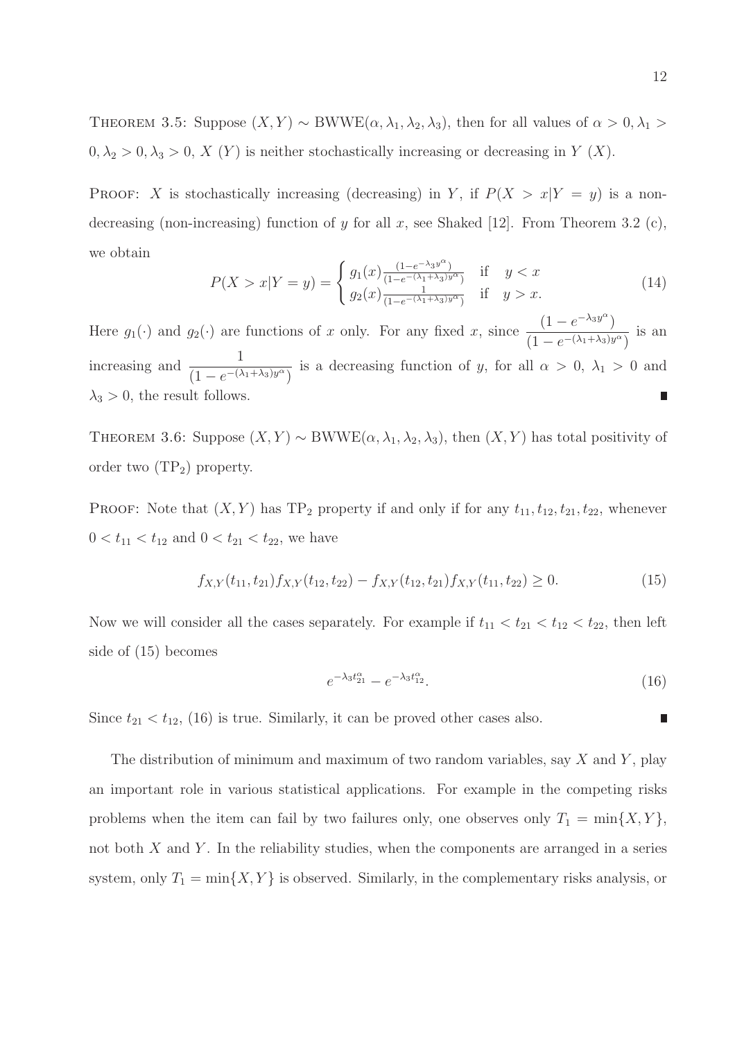THEOREM 3.5: Suppose  $(X, Y) \sim BWWE(\alpha, \lambda_1, \lambda_2, \lambda_3)$ , then for all values of  $\alpha > 0, \lambda_1 >$  $0, \lambda_2 > 0, \lambda_3 > 0, X(Y)$  is neither stochastically increasing or decreasing in Y  $(X)$ .

PROOF: X is stochastically increasing (decreasing) in Y, if  $P(X > x|Y = y)$  is a nondecreasing (non-increasing) function of y for all x, see Shaked [12]. From Theorem 3.2 (c), we obtain

$$
P(X > x | Y = y) = \begin{cases} g_1(x) \frac{(1 - e^{-\lambda_3 y^{\alpha}})}{(1 - e^{-(\lambda_1 + \lambda_3)y^{\alpha}})} & \text{if } y < x \\ g_2(x) \frac{1}{(1 - e^{-(\lambda_1 + \lambda_3)y^{\alpha}})} & \text{if } y > x. \end{cases}
$$
(14)

Here  $g_1(\cdot)$  and  $g_2(\cdot)$  are functions of x only. For any fixed x, since  $(1-e^{-\lambda_3 y^{\alpha}})$  $(1 - e^{-(\lambda_1 + \lambda_3)y^{\alpha}})$ is an increasing and  $\frac{1}{(1-\frac{1}{1-\alpha})}$  $\frac{1}{(1 - e^{-(\lambda_1 + \lambda_3)y^{\alpha}})}$  is a decreasing function of y, for all  $\alpha > 0$ ,  $\lambda_1 > 0$  and  $\lambda_3 > 0$ , the result follows.

THEOREM 3.6: Suppose  $(X, Y) \sim BWWE(\alpha, \lambda_1, \lambda_2, \lambda_3)$ , then  $(X, Y)$  has total positivity of order two  $(TP_2)$  property.

PROOF: Note that  $(X, Y)$  has TP<sub>2</sub> property if and only if for any  $t_{11}, t_{12}, t_{21}, t_{22}$ , whenever  $0 < t_{11} < t_{12}$  and  $0 < t_{21} < t_{22}$ , we have

$$
f_{X,Y}(t_{11}, t_{21})f_{X,Y}(t_{12}, t_{22}) - f_{X,Y}(t_{12}, t_{21})f_{X,Y}(t_{11}, t_{22}) \ge 0.
$$
 (15)

Now we will consider all the cases separately. For example if  $t_{11} < t_{21} < t_{12} < t_{22}$ , then left side of (15) becomes

$$
e^{-\lambda_3 t_{21}^{\alpha}} - e^{-\lambda_3 t_{12}^{\alpha}}.
$$
\n(16)

Since  $t_{21} < t_{12}$ , (16) is true. Similarly, it can be proved other cases also.

The distribution of minimum and maximum of two random variables, say  $X$  and  $Y$ , play an important role in various statistical applications. For example in the competing risks problems when the item can fail by two failures only, one observes only  $T_1 = \min\{X, Y\}$ , not both  $X$  and  $Y$ . In the reliability studies, when the components are arranged in a series system, only  $T_1 = \min\{X, Y\}$  is observed. Similarly, in the complementary risks analysis, or

П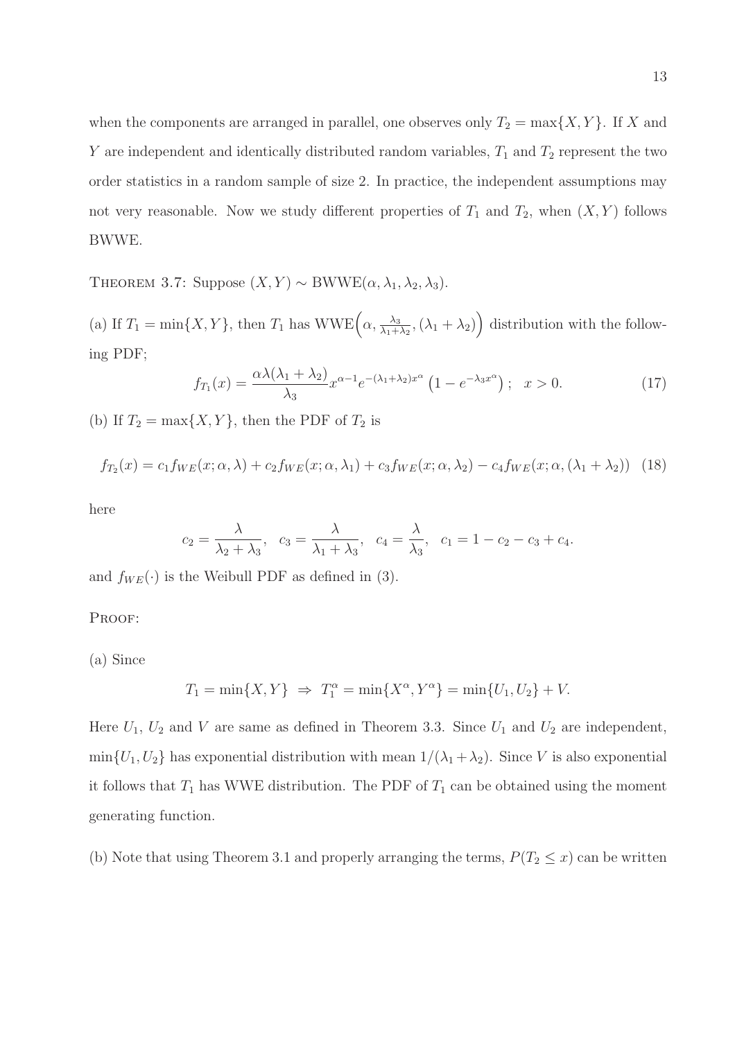when the components are arranged in parallel, one observes only  $T_2 = \max\{X, Y\}$ . If X and Y are independent and identically distributed random variables,  $T_1$  and  $T_2$  represent the two order statistics in a random sample of size 2. In practice, the independent assumptions may not very reasonable. Now we study different properties of  $T_1$  and  $T_2$ , when  $(X, Y)$  follows BWWE.

THEOREM 3.7: Suppose  $(X, Y) \sim BWWE(\alpha, \lambda_1, \lambda_2, \lambda_3)$ .

(a) If  $T_1 = \min\{X, Y\}$ , then  $T_1$  has  $WWE\left(\alpha, \frac{\lambda_3}{\lambda_1 + \lambda_2}, (\lambda_1 + \lambda_2)\right)$  distribution with the following PDF;

$$
f_{T_1}(x) = \frac{\alpha \lambda (\lambda_1 + \lambda_2)}{\lambda_3} x^{\alpha - 1} e^{-(\lambda_1 + \lambda_2)x^{\alpha}} \left(1 - e^{-\lambda_3 x^{\alpha}}\right); \quad x > 0.
$$
 (17)

(b) If  $T_2 = \max\{X, Y\}$ , then the PDF of  $T_2$  is

$$
f_{T_2}(x) = c_1 f_{WE}(x; \alpha, \lambda) + c_2 f_{WE}(x; \alpha, \lambda_1) + c_3 f_{WE}(x; \alpha, \lambda_2) - c_4 f_{WE}(x; \alpha, (\lambda_1 + \lambda_2))
$$
(18)

here

$$
c_2 = \frac{\lambda}{\lambda_2 + \lambda_3}
$$
,  $c_3 = \frac{\lambda}{\lambda_1 + \lambda_3}$ ,  $c_4 = \frac{\lambda}{\lambda_3}$ ,  $c_1 = 1 - c_2 - c_3 + c_4$ .

and  $f_{WE}(\cdot)$  is the Weibull PDF as defined in (3).

PROOF:

(a) Since

$$
T_1 = \min\{X, Y\} \Rightarrow T_1^{\alpha} = \min\{X^{\alpha}, Y^{\alpha}\} = \min\{U_1, U_2\} + V.
$$

Here  $U_1$ ,  $U_2$  and V are same as defined in Theorem 3.3. Since  $U_1$  and  $U_2$  are independent,  $min{U_1, U_2}$  has exponential distribution with mean  $1/(\lambda_1 + \lambda_2)$ . Since V is also exponential it follows that  $T_1$  has WWE distribution. The PDF of  $T_1$  can be obtained using the moment generating function.

(b) Note that using Theorem 3.1 and properly arranging the terms,  $P(T_2 \leq x)$  can be written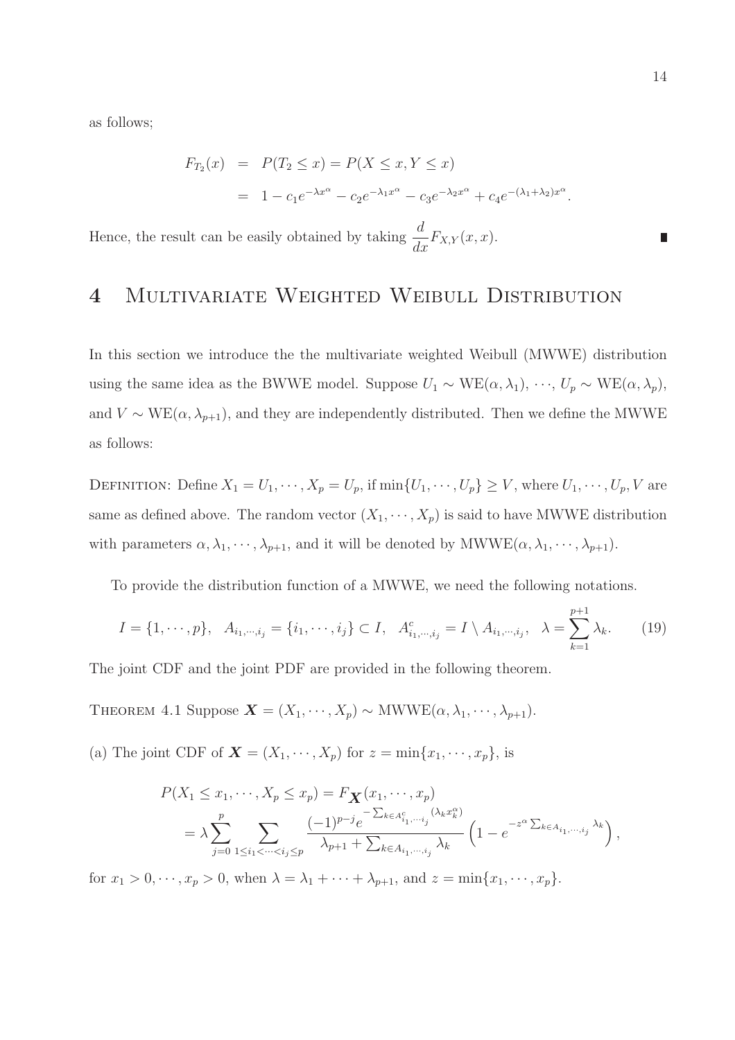as follows;

$$
F_{T_2}(x) = P(T_2 \le x) = P(X \le x, Y \le x)
$$
  
=  $1 - c_1 e^{-\lambda x^{\alpha}} - c_2 e^{-\lambda_1 x^{\alpha}} - c_3 e^{-\lambda_2 x^{\alpha}} + c_4 e^{-(\lambda_1 + \lambda_2)x^{\alpha}}.$ 

Hence, the result can be easily obtained by taking  $\frac{d}{d\theta}$  $\frac{d}{dx}F_{X,Y}(x,x).$ 

## 4 Multivariate Weighted Weibull Distribution

In this section we introduce the the multivariate weighted Weibull (MWWE) distribution using the same idea as the BWWE model. Suppose  $U_1 \sim \text{WE}(\alpha, \lambda_1), \dots, U_p \sim \text{WE}(\alpha, \lambda_p)$ , and  $V \sim \text{WE}(\alpha, \lambda_{p+1})$ , and they are independently distributed. Then we define the MWWE as follows:

DEFINITION: Define  $X_1 = U_1, \dots, X_p = U_p$ , if  $\min\{U_1, \dots, U_p\} \geq V$ , where  $U_1, \dots, U_p, V$  are same as defined above. The random vector  $(X_1, \dots, X_p)$  is said to have MWWE distribution with parameters  $\alpha, \lambda_1, \dots, \lambda_{p+1}$ , and it will be denoted by MWWE( $\alpha, \lambda_1, \dots, \lambda_{p+1}$ ).

To provide the distribution function of a MWWE, we need the following notations.

$$
I = \{1, \dots, p\}, \quad A_{i_1, \dots, i_j} = \{i_1, \dots, i_j\} \subset I, \quad A_{i_1, \dots, i_j}^c = I \setminus A_{i_1, \dots, i_j}, \quad \lambda = \sum_{k=1}^{p+1} \lambda_k. \tag{19}
$$

The joint CDF and the joint PDF are provided in the following theorem.

THEOREM 4.1 Suppose  $\mathbf{X} = (X_1, \dots, X_p) \sim \text{MWWE}(\alpha, \lambda_1, \dots, \lambda_{p+1}).$ 

(a) The joint CDF of  $\mathbf{X} = (X_1, \dots, X_p)$  for  $z = \min\{x_1, \dots, x_p\}$ , is

$$
P(X_1 \le x_1, \dots, X_p \le x_p) = F_{\mathbf{X}}(x_1, \dots, x_p)
$$
  
=  $\lambda \sum_{j=0}^p \sum_{1 \le i_1 < \dots < i_j \le p} \frac{(-1)^{p-j} e^{-\sum_{k \in A_{i_1, \dots, i_j}} (\lambda_k x_k^{\alpha})}}{\lambda_{p+1} + \sum_{k \in A_{i_1, \dots, i_j}} \lambda_k} \left(1 - e^{-z^{\alpha} \sum_{k \in A_{i_1, \dots, i_j}} \lambda_k}\right),$ 

for  $x_1 > 0, \dots, x_p > 0$ , when  $\lambda = \lambda_1 + \dots + \lambda_{p+1}$ , and  $z = \min\{x_1, \dots, x_p\}$ .

П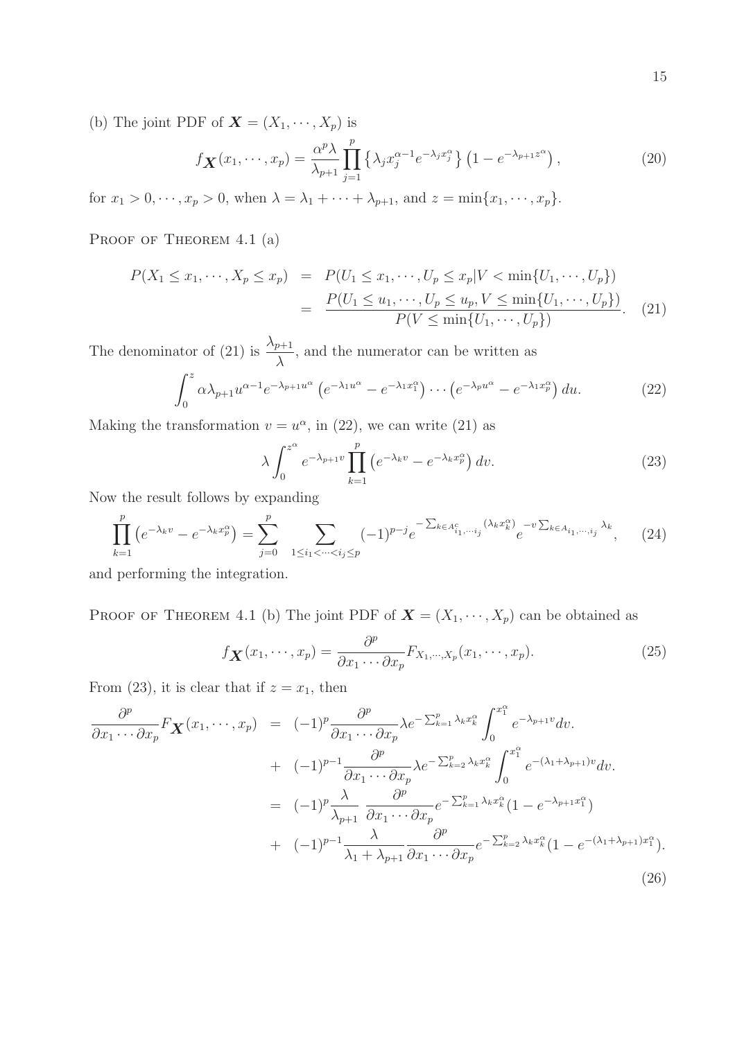(b) The joint PDF of  $\mathbf{X} = (X_1, \dots, X_p)$  is

$$
f_{\mathbf{X}}(x_1,\cdots,x_p) = \frac{\alpha^p \lambda}{\lambda_{p+1}} \prod_{j=1}^p \left\{ \lambda_j x_j^{\alpha-1} e^{-\lambda_j x_j^{\alpha}} \right\} \left( 1 - e^{-\lambda_{p+1} z^{\alpha}} \right),\tag{20}
$$

for  $x_1 > 0, \dots, x_p > 0$ , when  $\lambda = \lambda_1 + \dots + \lambda_{p+1}$ , and  $z = \min\{x_1, \dots, x_p\}$ .

PROOF OF THEOREM 4.1 (a)

$$
P(X_1 \le x_1, \dots, X_p \le x_p) = P(U_1 \le x_1, \dots, U_p \le x_p | V < \min\{U_1, \dots, U_p\})
$$
\n
$$
= \frac{P(U_1 \le u_1, \dots, U_p \le u_p, V \le \min\{U_1, \dots, U_p\})}{P(V \le \min\{U_1, \dots, U_p\})}.
$$
\n(21)

The denominator of (21) is  $\frac{\lambda_{p+1}}{\lambda_p}$ λ , and the numerator can be written as

$$
\int_0^z \alpha \lambda_{p+1} u^{\alpha-1} e^{-\lambda_{p+1} u^{\alpha}} \left( e^{-\lambda_1 u^{\alpha}} - e^{-\lambda_1 x_1^{\alpha}} \right) \cdots \left( e^{-\lambda_p u^{\alpha}} - e^{-\lambda_1 x_p^{\alpha}} \right) du. \tag{22}
$$

Making the transformation  $v = u^{\alpha}$ , in (22), we can write (21) as

$$
\lambda \int_0^{z^{\alpha}} e^{-\lambda_{p+1}v} \prod_{k=1}^p \left( e^{-\lambda_k v} - e^{-\lambda_k x_p^{\alpha}} \right) dv.
$$
 (23)

Now the result follows by expanding

$$
\prod_{k=1}^{p} \left( e^{-\lambda_k v} - e^{-\lambda_k x_p^{\alpha}} \right) = \sum_{j=0}^{p} \sum_{1 \le i_1 < \dots < i_j \le p} (-1)^{p-j} e^{-\sum_{k \in A_{i_1, \dots, i_j}^c} (\lambda_k x_k^{\alpha})} e^{-v \sum_{k \in A_{i_1, \dots, i_j}} \lambda_k}, \quad (24)
$$

and performing the integration.

PROOF OF THEOREM 4.1 (b) The joint PDF of  $\mathbf{X} = (X_1, \dots, X_p)$  can be obtained as

$$
f_{\mathbf{X}}(x_1,\dots,x_p) = \frac{\partial^p}{\partial x_1 \cdots \partial x_p} F_{X_1,\dots,X_p}(x_1,\dots,x_p). \tag{25}
$$

From (23), it is clear that if  $z = x_1$ , then

$$
\frac{\partial^p}{\partial x_1 \cdots \partial x_p} F_{\mathbf{X}}(x_1, \cdots, x_p) = (-1)^p \frac{\partial^p}{\partial x_1 \cdots \partial x_p} \lambda e^{-\sum_{k=1}^p \lambda_k x_k^{\alpha}} \int_0^{x_1^{\alpha}} e^{-\lambda_{p+1} v} dv.
$$
  
+  $(-1)^{p-1} \frac{\partial^p}{\partial x_1 \cdots \partial x_p} \lambda e^{-\sum_{k=2}^p \lambda_k x_k^{\alpha}} \int_0^{x_1^{\alpha}} e^{-(\lambda_1 + \lambda_{p+1}) v} dv.$   
=  $(-1)^p \frac{\lambda}{\lambda_{p+1}} \frac{\partial^p}{\partial x_1 \cdots \partial x_p} e^{-\sum_{k=1}^p \lambda_k x_k^{\alpha}} (1 - e^{-\lambda_{p+1} x_1^{\alpha}})$   
+  $(-1)^{p-1} \frac{\lambda}{\lambda_1 + \lambda_{p+1}} \frac{\partial^p}{\partial x_1 \cdots \partial x_p} e^{-\sum_{k=2}^p \lambda_k x_k^{\alpha}} (1 - e^{-(\lambda_1 + \lambda_{p+1}) x_1^{\alpha}}).$  (26)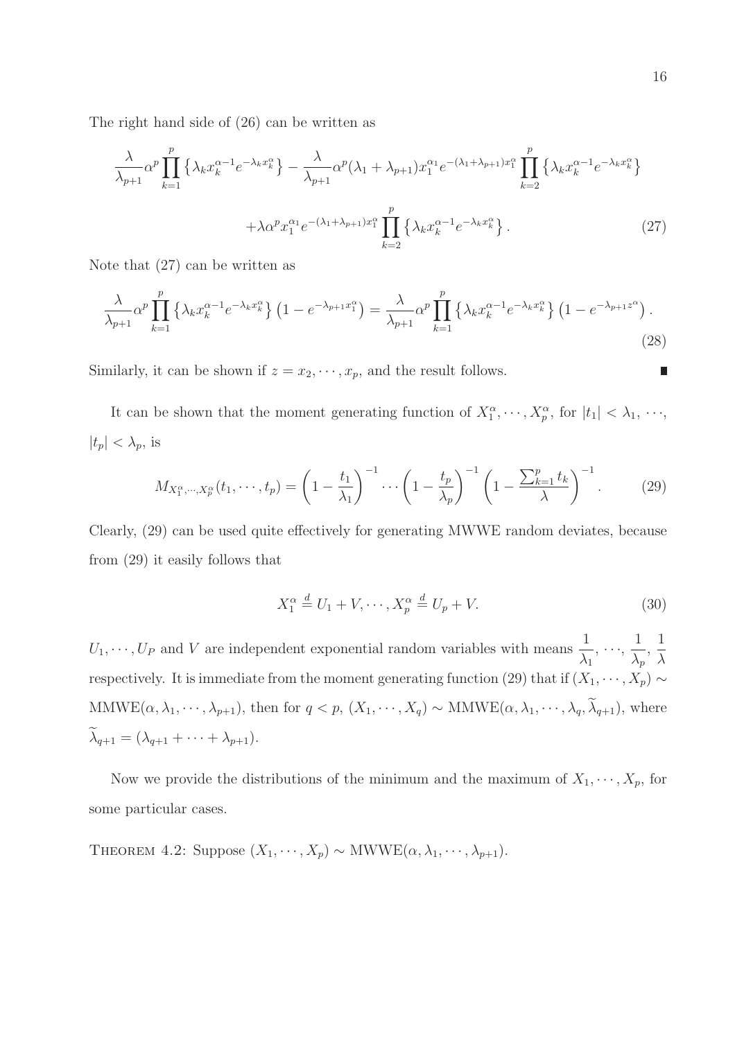The right hand side of (26) can be written as

$$
\frac{\lambda}{\lambda_{p+1}} \alpha^p \prod_{k=1}^p \left\{ \lambda_k x_k^{\alpha-1} e^{-\lambda_k x_k^{\alpha}} \right\} - \frac{\lambda}{\lambda_{p+1}} \alpha^p (\lambda_1 + \lambda_{p+1}) x_1^{\alpha_1} e^{-(\lambda_1 + \lambda_{p+1}) x_1^{\alpha}} \prod_{k=2}^p \left\{ \lambda_k x_k^{\alpha-1} e^{-\lambda_k x_k^{\alpha}} \right\} + \lambda \alpha^p x_1^{\alpha_1} e^{-(\lambda_1 + \lambda_{p+1}) x_1^{\alpha}} \prod_{k=2}^p \left\{ \lambda_k x_k^{\alpha-1} e^{-\lambda_k x_k^{\alpha}} \right\}.
$$
\n(27)

Note that (27) can be written as

$$
\frac{\lambda}{\lambda_{p+1}} \alpha^p \prod_{k=1}^p \left\{ \lambda_k x_k^{\alpha-1} e^{-\lambda_k x_k^{\alpha}} \right\} \left( 1 - e^{-\lambda_{p+1} x_1^{\alpha}} \right) = \frac{\lambda}{\lambda_{p+1}} \alpha^p \prod_{k=1}^p \left\{ \lambda_k x_k^{\alpha-1} e^{-\lambda_k x_k^{\alpha}} \right\} \left( 1 - e^{-\lambda_{p+1} z^{\alpha}} \right). \tag{28}
$$

Similarly, it can be shown if  $z = x_2, \dots, x_p$ , and the result follows.

It can be shown that the moment generating function of  $X_1^{\alpha}, \dots, X_p^{\alpha}$ , for  $|t_1| < \lambda_1, \dots,$  $|t_p| < \lambda_p$ , is

$$
M_{X_1^{\alpha},\cdots,X_p^{\alpha}}(t_1,\cdots,t_p) = \left(1 - \frac{t_1}{\lambda_1}\right)^{-1} \cdots \left(1 - \frac{t_p}{\lambda_p}\right)^{-1} \left(1 - \frac{\sum_{k=1}^p t_k}{\lambda}\right)^{-1}.
$$
 (29)

Clearly, (29) can be used quite effectively for generating MWWE random deviates, because from (29) it easily follows that

$$
X_1^{\alpha} \stackrel{d}{=} U_1 + V, \cdots, X_p^{\alpha} \stackrel{d}{=} U_p + V. \tag{30}
$$

 $U_1, \dots, U_P$  and V are independent exponential random variables with means  $\frac{1}{\sqrt{2}}$  $\lambda_1$  $, \ldots,$ 1  $\lambda_p$ , 1 λ respectively. It is immediate from the moment generating function (29) that if  $(X_1, \dots, X_p) \sim$ MMWE $(\alpha, \lambda_1, \dots, \lambda_{p+1})$ , then for  $q < p$ ,  $(X_1, \dots, X_q) \sim \text{MMWE}(\alpha, \lambda_1, \dots, \lambda_q, \widetilde{\lambda}_{q+1})$ , where  $\widetilde{\lambda}_{q+1} = (\lambda_{q+1} + \cdots + \lambda_{p+1}).$ 

Now we provide the distributions of the minimum and the maximum of  $X_1, \dots, X_p$ , for some particular cases.

THEOREM 4.2: Suppose  $(X_1, \dots, X_p) \sim \text{MWWE}(\alpha, \lambda_1, \dots, \lambda_{p+1}).$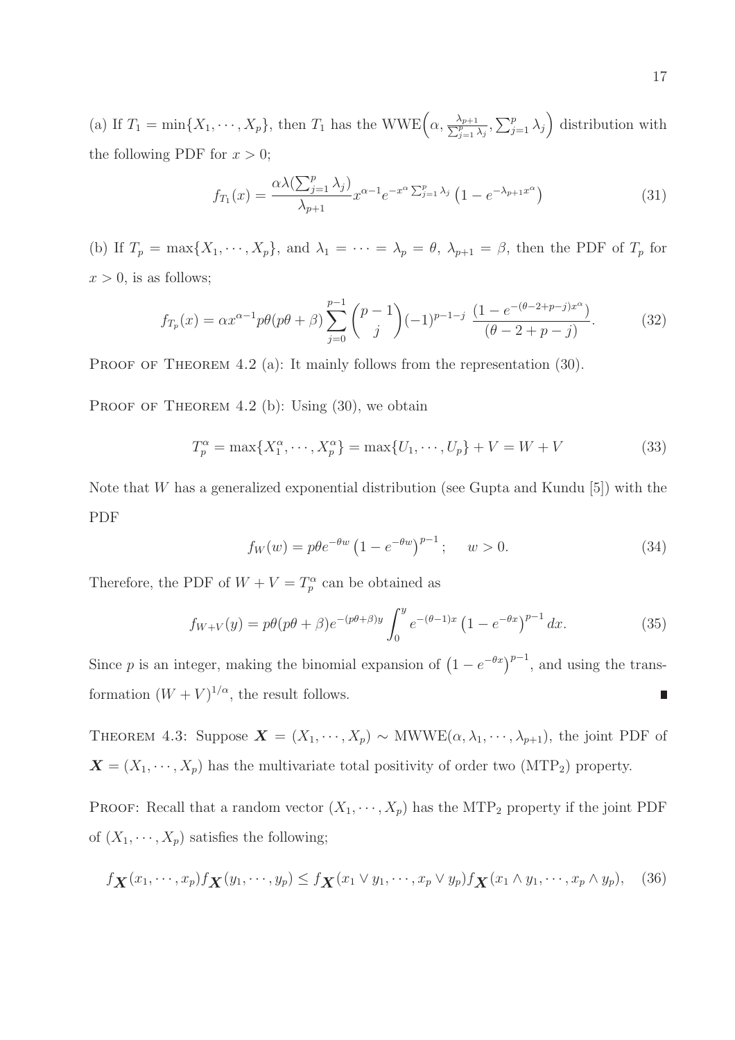(a) If  $T_1 = \min\{X_1, \dots, X_p\}$ , then  $T_1$  has the WWE $\left(\alpha, \frac{\lambda_{p+1}}{\sum_{j=1}^p \lambda_j}, \sum_{j=1}^p \lambda_j\right)$  distribution with the following PDF for  $x > 0$ ;

$$
f_{T_1}(x) = \frac{\alpha \lambda (\sum_{j=1}^p \lambda_j)}{\lambda_{p+1}} x^{\alpha - 1} e^{-x^{\alpha} \sum_{j=1}^p \lambda_j} \left( 1 - e^{-\lambda_{p+1} x^{\alpha}} \right)
$$
(31)

(b) If  $T_p = \max\{X_1, \dots, X_p\}$ , and  $\lambda_1 = \dots = \lambda_p = \theta$ ,  $\lambda_{p+1} = \beta$ , then the PDF of  $T_p$  for  $x > 0$ , is as follows;

$$
f_{T_p}(x) = \alpha x^{\alpha - 1} p \theta(p\theta + \beta) \sum_{j=0}^{p-1} {p-1 \choose j} (-1)^{p-1-j} \frac{(1 - e^{-(\theta - 2 + p - j)x^{\alpha}})}{(\theta - 2 + p - j)}.
$$
 (32)

PROOF OF THEOREM 4.2 (a): It mainly follows from the representation  $(30)$ .

PROOF OF THEOREM 4.2 (b): Using  $(30)$ , we obtain

$$
T_p^{\alpha} = \max\{X_1^{\alpha}, \cdots, X_p^{\alpha}\} = \max\{U_1, \cdots, U_p\} + V = W + V
$$
 (33)

Note that  $W$  has a generalized exponential distribution (see Gupta and Kundu [5]) with the PDF

$$
f_W(w) = p\theta e^{-\theta w} \left( 1 - e^{-\theta w} \right)^{p-1}; \quad w > 0.
$$
 (34)

Therefore, the PDF of  $W + V = T_p^{\alpha}$  can be obtained as

$$
f_{W+V}(y) = p\theta(p\theta + \beta)e^{-(p\theta + \beta)y} \int_0^y e^{-(\theta - 1)x} (1 - e^{-\theta x})^{p-1} dx.
$$
 (35)

Since p is an integer, making the binomial expansion of  $(1 - e^{-\theta x})^{p-1}$ , and using the transformation  $(W + V)^{1/\alpha}$ , the result follows.  $\overline{\phantom{a}}$ 

THEOREM 4.3: Suppose  $\mathbf{X} = (X_1, \dots, X_p) \sim \text{MWWE}(\alpha, \lambda_1, \dots, \lambda_{p+1}),$  the joint PDF of  $\mathbf{X} = (X_1, \dots, X_p)$  has the multivariate total positivity of order two (MTP<sub>2</sub>) property.

PROOF: Recall that a random vector  $(X_1, \dots, X_p)$  has the MTP<sub>2</sub> property if the joint PDF of  $(X_1, \dots, X_p)$  satisfies the following;

$$
f_{\mathbf{X}}(x_1,\dots,x_p)f_{\mathbf{X}}(y_1,\dots,y_p) \le f_{\mathbf{X}}(x_1 \vee y_1,\dots,x_p \vee y_p)f_{\mathbf{X}}(x_1 \wedge y_1,\dots,x_p \wedge y_p), \quad (36)
$$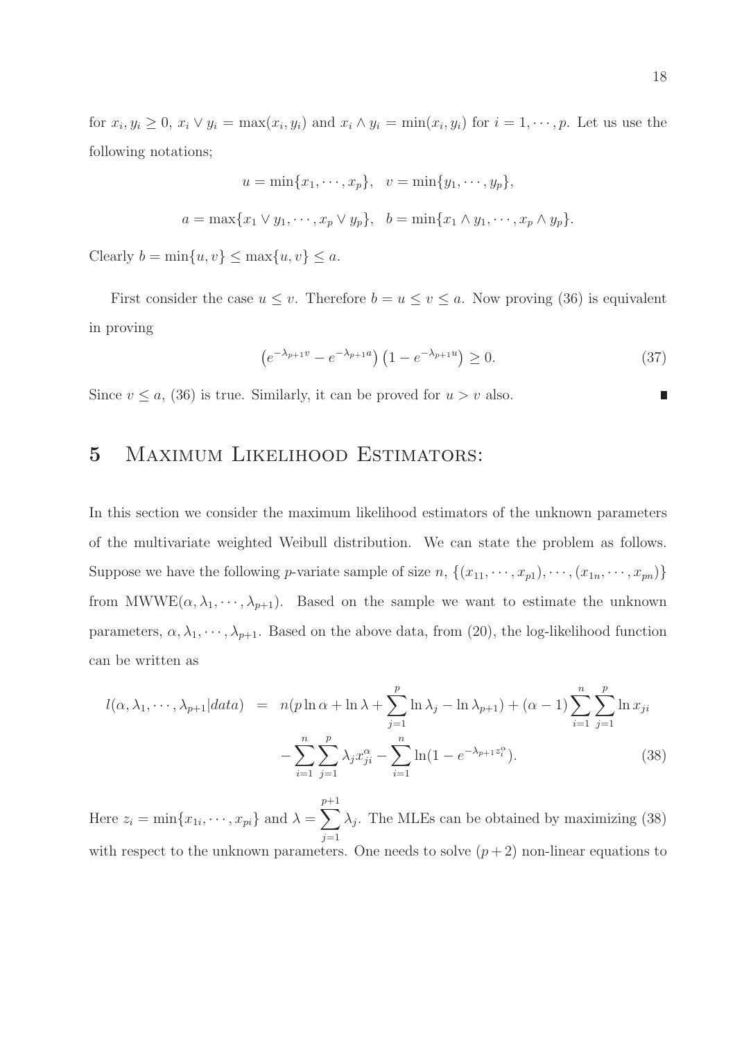for  $x_i, y_i \geq 0$ ,  $x_i \vee y_i = \max(x_i, y_i)$  and  $x_i \wedge y_i = \min(x_i, y_i)$  for  $i = 1, \dots, p$ . Let us use the following notations;

$$
u = \min\{x_1, \dots, x_p\}, \quad v = \min\{y_1, \dots, y_p\},\
$$

$$
a = \max\{x_1 \vee y_1, \dots, x_p \vee y_p\}, \quad b = \min\{x_1 \wedge y_1, \dots, x_p \wedge y_p\}.
$$

Clearly  $b = \min\{u, v\} \le \max\{u, v\} \le a$ .

First consider the case  $u \leq v$ . Therefore  $b = u \leq v \leq a$ . Now proving (36) is equivalent in proving

$$
\left(e^{-\lambda_{p+1}v} - e^{-\lambda_{p+1}a}\right)\left(1 - e^{-\lambda_{p+1}u}\right) \ge 0. \tag{37}
$$

Since  $v \le a$ , (36) is true. Similarly, it can be proved for  $u > v$  also.

### 5 Maximum Likelihood Estimators:

In this section we consider the maximum likelihood estimators of the unknown parameters of the multivariate weighted Weibull distribution. We can state the problem as follows. Suppose we have the following *p*-variate sample of size *n*,  $\{(x_{11}, \dots, x_{p1}), \dots, (x_{1n}, \dots, x_{pn})\}$ from  $MWWE(\alpha, \lambda_1, \dots, \lambda_{p+1})$ . Based on the sample we want to estimate the unknown parameters,  $\alpha, \lambda_1, \dots, \lambda_{p+1}$ . Based on the above data, from (20), the log-likelihood function can be written as

$$
l(\alpha, \lambda_1, \cdots, \lambda_{p+1} | data) = n(p \ln \alpha + \ln \lambda + \sum_{j=1}^p \ln \lambda_j - \ln \lambda_{p+1}) + (\alpha - 1) \sum_{i=1}^n \sum_{j=1}^p \ln x_{ji}
$$

$$
- \sum_{i=1}^n \sum_{j=1}^p \lambda_j x_{ji}^{\alpha} - \sum_{i=1}^n \ln(1 - e^{-\lambda_{p+1} z_i^{\alpha}}). \tag{38}
$$

Here  $z_i = \min\{x_{1i}, \dots, x_{pi}\}\$ and  $\lambda = \sum_{i=1}^{p+1}$  $j=1$  $\lambda_j$ . The MLEs can be obtained by maximizing (38) with respect to the unknown parameters. One needs to solve  $(p+2)$  non-linear equations to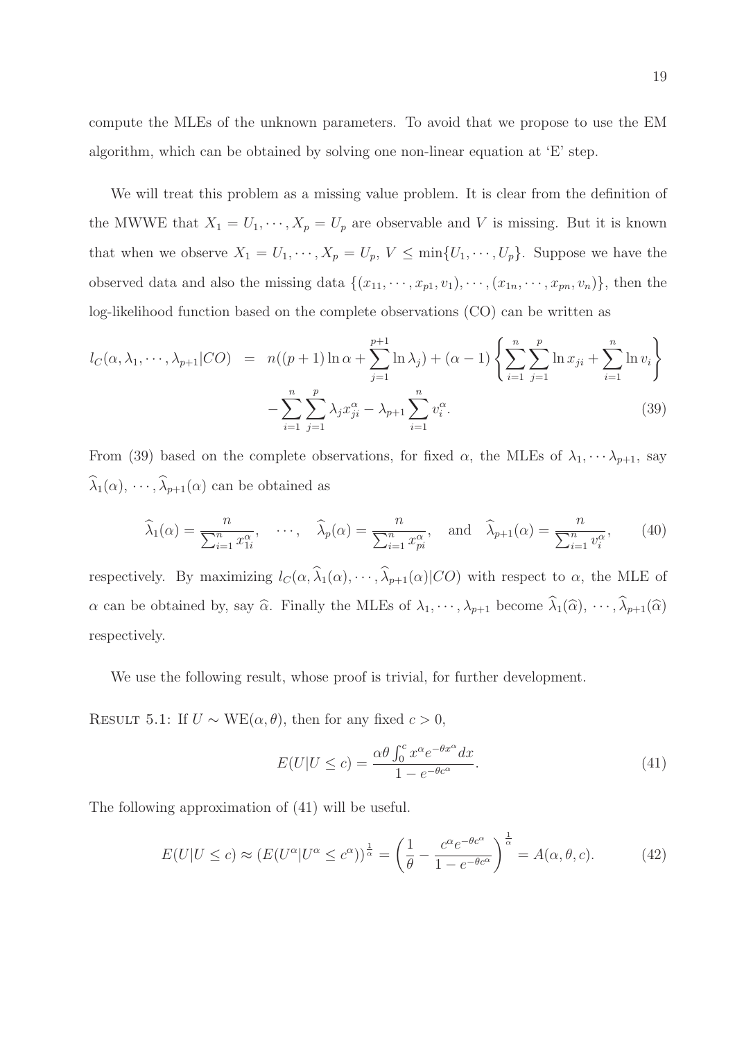compute the MLEs of the unknown parameters. To avoid that we propose to use the EM algorithm, which can be obtained by solving one non-linear equation at 'E' step.

We will treat this problem as a missing value problem. It is clear from the definition of the MWWE that  $X_1 = U_1, \dots, X_p = U_p$  are observable and V is missing. But it is known that when we observe  $X_1 = U_1, \dots, X_p = U_p, V \le \min\{U_1, \dots, U_p\}$ . Suppose we have the observed data and also the missing data  $\{(x_{11}, \dots, x_{p1}, v_1), \dots, (x_{1n}, \dots, x_{pn}, v_n)\}\)$ , then the log-likelihood function based on the complete observations (CO) can be written as

$$
l_C(\alpha, \lambda_1, \cdots, \lambda_{p+1} | CO) = n((p+1)\ln \alpha + \sum_{j=1}^{p+1} \ln \lambda_j) + (\alpha - 1) \left\{ \sum_{i=1}^n \sum_{j=1}^p \ln x_{ji} + \sum_{i=1}^n \ln v_i \right\}
$$

$$
- \sum_{i=1}^n \sum_{j=1}^p \lambda_j x_{ji}^{\alpha} - \lambda_{p+1} \sum_{i=1}^n v_i^{\alpha}.
$$
 (39)

From (39) based on the complete observations, for fixed  $\alpha$ , the MLEs of  $\lambda_1, \dots, \lambda_{p+1}$ , say  $\widehat{\lambda}_1(\alpha), \cdots, \widehat{\lambda}_{p+1}(\alpha)$  can be obtained as

$$
\widehat{\lambda}_1(\alpha) = \frac{n}{\sum_{i=1}^n x_{1i}^{\alpha}}, \quad \cdots, \quad \widehat{\lambda}_p(\alpha) = \frac{n}{\sum_{i=1}^n x_{pi}^{\alpha}}, \quad \text{and} \quad \widehat{\lambda}_{p+1}(\alpha) = \frac{n}{\sum_{i=1}^n v_i^{\alpha}}, \tag{40}
$$

respectively. By maximizing  $l_C(\alpha, \hat{\lambda}_1(\alpha), \cdots, \hat{\lambda}_{p+1}(\alpha)|CO)$  with respect to  $\alpha$ , the MLE of  $\alpha$  can be obtained by, say  $\widehat{\alpha}$ . Finally the MLEs of  $\lambda_1, \dots, \lambda_{p+1}$  become  $\widehat{\lambda}_1(\widehat{\alpha}), \dots, \widehat{\lambda}_{p+1}(\widehat{\alpha})$ respectively.

We use the following result, whose proof is trivial, for further development.

RESULT 5.1: If  $U \sim \text{WE}(\alpha, \theta)$ , then for any fixed  $c > 0$ ,

$$
E(U|U \le c) = \frac{\alpha \theta \int_0^c x^{\alpha} e^{-\theta x^{\alpha}} dx}{1 - e^{-\theta c^{\alpha}}}.
$$
\n(41)

The following approximation of (41) will be useful.

$$
E(U|U \le c) \approx (E(U^{\alpha}|U^{\alpha} \le c^{\alpha}))^{\frac{1}{\alpha}} = \left(\frac{1}{\theta} - \frac{c^{\alpha}e^{-\theta c^{\alpha}}}{1 - e^{-\theta c^{\alpha}}}\right)^{\frac{1}{\alpha}} = A(\alpha, \theta, c).
$$
 (42)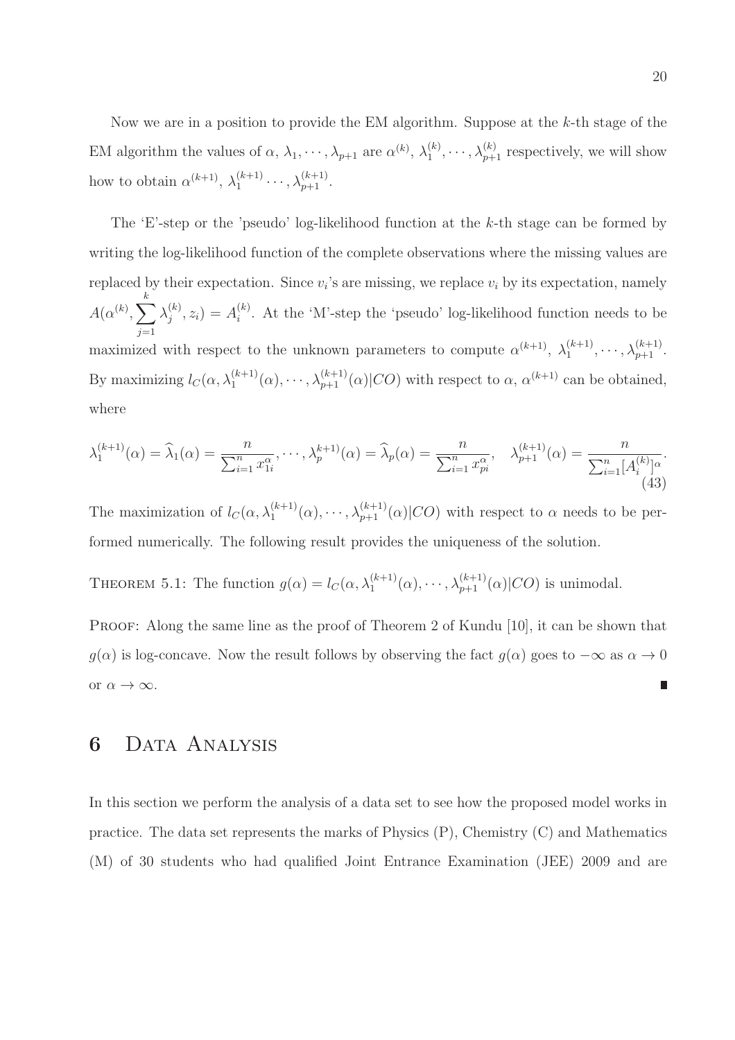Now we are in a position to provide the EM algorithm. Suppose at the k-th stage of the EM algorithm the values of  $\alpha$ ,  $\lambda_1, \dots, \lambda_{p+1}$  are  $\alpha^{(k)}$ ,  $\lambda_1^{(k)}$  $\lambda_1^{(k)}, \dots, \lambda_{p+1}^{(k)}$  respectively, we will show how to obtain  $\alpha^{(k+1)}$ ,  $\lambda_1^{(k+1)}$  $\lambda_1^{(k+1)} \cdots, \lambda_{p+1}^{(k+1)}.$ 

The 'E'-step or the 'pseudo' log-likelihood function at the  $k$ -th stage can be formed by writing the log-likelihood function of the complete observations where the missing values are replaced by their expectation. Since  $v_i$ 's are missing, we replace  $v_i$  by its expectation, namely  $A(\alpha^{(k)},\sum^k)$  $j=1$  $\lambda_i^{(k)}$  $j^{(k)}, z_i) = A_i^{(k)}$  $i$ <sup>( $k$ </sup>). At the 'M'-step the 'pseudo' log-likelihood function needs to be maximized with respect to the unknown parameters to compute  $\alpha^{(k+1)}$ ,  $\lambda_1^{(k+1)}$  $\lambda_1^{(k+1)}, \cdots, \lambda_{p+1}^{(k+1)}.$ By maximizing  $l_C(\alpha, \lambda_1^{(k+1)}(\alpha), \cdots, \lambda_{p+1}^{(k+1)}(\alpha)|CO)$  with respect to  $\alpha, \alpha^{(k+1)}$  can be obtained, where

$$
\lambda_1^{(k+1)}(\alpha) = \widehat{\lambda}_1(\alpha) = \frac{n}{\sum_{i=1}^n x_{1i}^{\alpha}}, \cdots, \lambda_p^{(k+1)}(\alpha) = \widehat{\lambda}_p(\alpha) = \frac{n}{\sum_{i=1}^n x_{pi}^{\alpha}}, \quad \lambda_{p+1}^{(k+1)}(\alpha) = \frac{n}{\sum_{i=1}^n [A_i^{(k)}]^\alpha}.
$$
\n(43)

The maximization of  $l_C(\alpha, \lambda_1^{(k+1)}(\alpha), \cdots, \lambda_{p+1}^{(k+1)}(\alpha)|CO)$  with respect to  $\alpha$  needs to be performed numerically. The following result provides the uniqueness of the solution.

THEOREM 5.1: The function  $g(\alpha) = l_C(\alpha, \lambda_1^{(k+1)}(\alpha), \cdots, \lambda_{p+1}^{(k+1)}(\alpha)|CO)$  is unimodal.

PROOF: Along the same line as the proof of Theorem 2 of Kundu [10], it can be shown that  $g(\alpha)$  is log-concave. Now the result follows by observing the fact  $g(\alpha)$  goes to  $-\infty$  as  $\alpha \to 0$ or  $\alpha \to \infty$ . ∎

# 6 Data Analysis

In this section we perform the analysis of a data set to see how the proposed model works in practice. The data set represents the marks of Physics (P), Chemistry (C) and Mathematics (M) of 30 students who had qualified Joint Entrance Examination (JEE) 2009 and are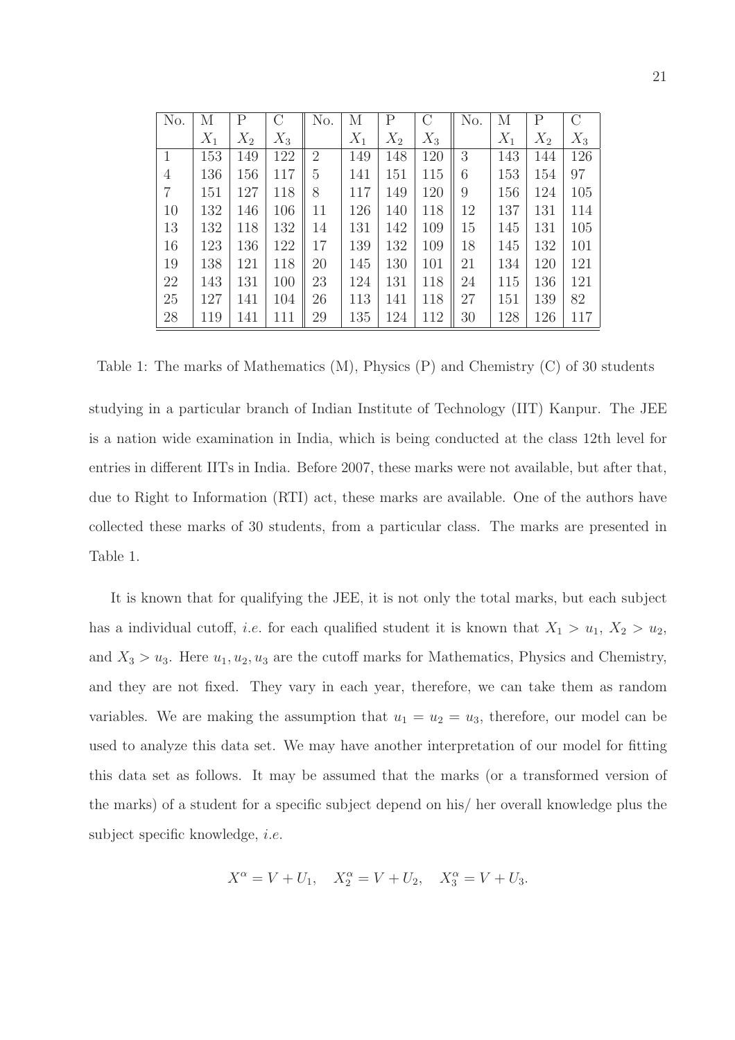| No.            | М     | Р     | С     | No.            | М     | P     | С     | No. | М     | $\mathbf P$ |       |
|----------------|-------|-------|-------|----------------|-------|-------|-------|-----|-------|-------------|-------|
|                | $X_1$ | $X_2$ | $X_3$ |                | $X_1$ | $X_2$ | $X_3$ |     | $X_1$ | $X_2$       | $X_3$ |
| $\mathbf{1}$   | 153   | 149   | 122   | $\overline{2}$ | 149   | 148   | 120   | 3   | 143   | 144         | 126   |
| $\overline{4}$ | 136   | 156   | 117   | 5              | 141   | 151   | 115   | 6   | 153   | 154         | 97    |
| 7              | 151   | 127   | 118   | 8              | 117   | 149   | 120   | 9   | 156   | 124         | 105   |
| 10             | 132   | 146   | 106   | 11             | 126   | 140   | 118   | 12  | 137   | 131         | 114   |
| 13             | 132   | 118   | 132   | 14             | 131   | 142   | 109   | 15  | 145   | 131         | 105   |
| 16             | 123   | 136   | 122   | 17             | 139   | 132   | 109   | 18  | 145   | 132         | 101   |
| 19             | 138   | 121   | 118   | 20             | 145   | 130   | 101   | 21  | 134   | 120         | 121   |
| 22             | 143   | 131   | 100   | 23             | 124   | 131   | 118   | 24  | 115   | 136         | 121   |
| 25             | 127   | 141   | 104   | 26             | 113   | 141   | 118   | 27  | 151   | 139         | 82    |
| 28             | 119   | 141   | 111   | 29             | 135   | 124   | 112   | 30  | 128   | 126         | 117   |

Table 1: The marks of Mathematics (M), Physics (P) and Chemistry (C) of 30 students

studying in a particular branch of Indian Institute of Technology (IIT) Kanpur. The JEE is a nation wide examination in India, which is being conducted at the class 12th level for entries in different IITs in India. Before 2007, these marks were not available, but after that, due to Right to Information (RTI) act, these marks are available. One of the authors have collected these marks of 30 students, from a particular class. The marks are presented in Table 1.

It is known that for qualifying the JEE, it is not only the total marks, but each subject has a individual cutoff, *i.e.* for each qualified student it is known that  $X_1 > u_1, X_2 > u_2$ , and  $X_3 > u_3$ . Here  $u_1, u_2, u_3$  are the cutoff marks for Mathematics, Physics and Chemistry, and they are not fixed. They vary in each year, therefore, we can take them as random variables. We are making the assumption that  $u_1 = u_2 = u_3$ , therefore, our model can be used to analyze this data set. We may have another interpretation of our model for fitting this data set as follows. It may be assumed that the marks (or a transformed version of the marks) of a student for a specific subject depend on his/ her overall knowledge plus the subject specific knowledge, i.e.

$$
X^{\alpha} = V + U_1, \quad X_2^{\alpha} = V + U_2, \quad X_3^{\alpha} = V + U_3.
$$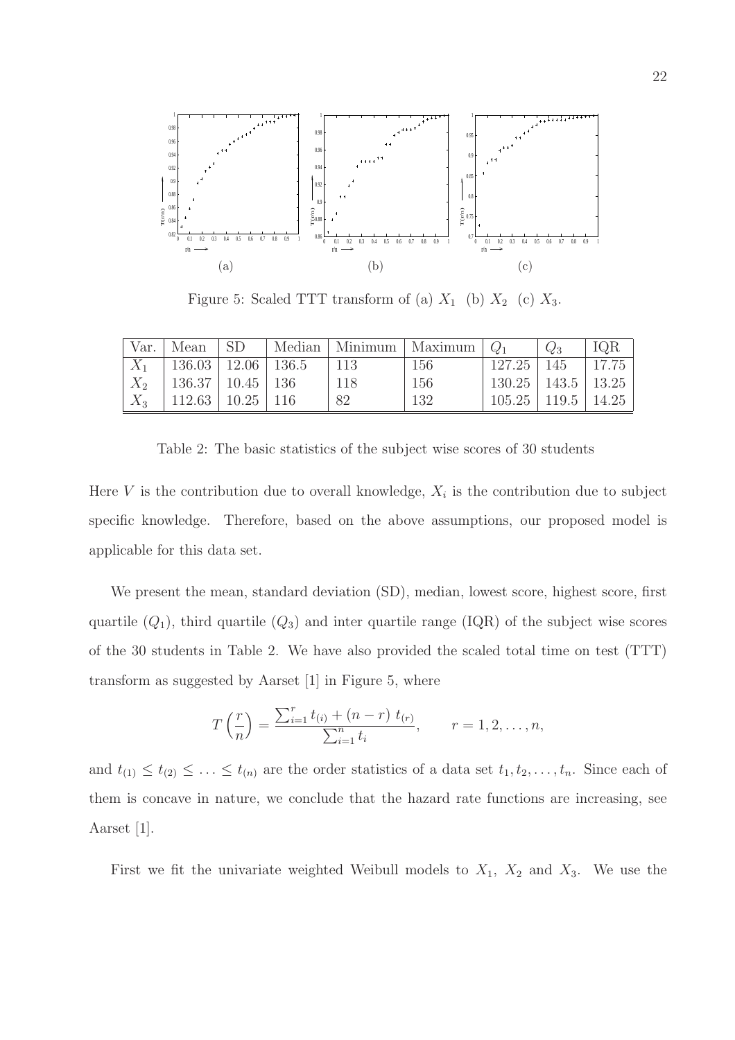

Figure 5: Scaled TTT transform of (a)  $X_1$  (b)  $X_2$  (c)  $X_3$ .

| Var.  | Mean                           | -SD           |      | Median   Minimum   Maximum | $\omega_1$                   | IQR   |
|-------|--------------------------------|---------------|------|----------------------------|------------------------------|-------|
|       | $136.03 \mid 12.06 \mid 136.5$ |               | -113 | 156                        | $127.25$   145               | 17.75 |
| $X_2$ | $136.37 \mid 10.45 \mid 136$   |               | 118  | 156                        | $130.25$   $143.5$   $13.25$ |       |
| $X_3$ | 112.63                         | $10.25$   116 | 82   | 132                        | $105.25$   119.5   14.25     |       |

Table 2: The basic statistics of the subject wise scores of 30 students

Here  $V$  is the contribution due to overall knowledge,  $X_i$  is the contribution due to subject specific knowledge. Therefore, based on the above assumptions, our proposed model is applicable for this data set.

We present the mean, standard deviation (SD), median, lowest score, highest score, first quartile  $(Q_1)$ , third quartile  $(Q_3)$  and inter quartile range  $(IQR)$  of the subject wise scores of the 30 students in Table 2. We have also provided the scaled total time on test (TTT) transform as suggested by Aarset [1] in Figure 5, where

$$
T\left(\frac{r}{n}\right) = \frac{\sum_{i=1}^{r} t_{(i)} + (n-r) t_{(r)}}{\sum_{i=1}^{n} t_i}, \qquad r = 1, 2, \dots, n,
$$

and  $t_{(1)} \leq t_{(2)} \leq \ldots \leq t_{(n)}$  are the order statistics of a data set  $t_1, t_2, \ldots, t_n$ . Since each of them is concave in nature, we conclude that the hazard rate functions are increasing, see Aarset [1].

First we fit the univariate weighted Weibull models to  $X_1$ ,  $X_2$  and  $X_3$ . We use the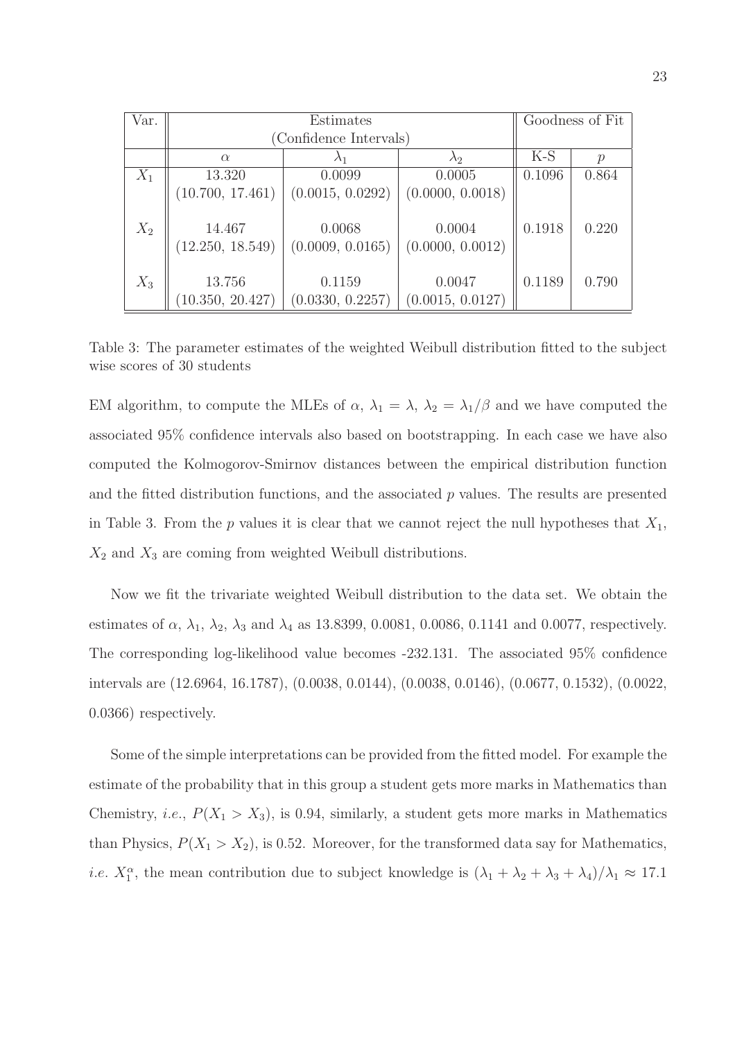| Var.  |                            | Goodness of Fit            |                            |        |               |
|-------|----------------------------|----------------------------|----------------------------|--------|---------------|
|       | (Confidence Intervals)     |                            |                            |        |               |
|       | $\alpha$                   |                            | $\lambda_2$                | $K-S$  | $\mathcal{D}$ |
| $X_1$ | 13.320                     | 0.0099                     | 0.0005                     | 0.1096 | 0.864         |
|       | (10.700, 17.461)           | (0.0015, 0.0292)           | (0.0000, 0.0018)           |        |               |
| $X_2$ | 14.467<br>(12.250, 18.549) | 0.0068<br>(0.0009, 0.0165) | 0.0004<br>(0.0000, 0.0012) | 0.1918 | 0.220         |
| $X_3$ | 13.756<br>(10.350, 20.427) | 0.1159<br>(0.0330, 0.2257) | 0.0047<br>(0.0015, 0.0127) | 0.1189 | 0.790         |

Table 3: The parameter estimates of the weighted Weibull distribution fitted to the subject wise scores of 30 students

EM algorithm, to compute the MLEs of  $\alpha$ ,  $\lambda_1 = \lambda$ ,  $\lambda_2 = \lambda_1/\beta$  and we have computed the associated 95% confidence intervals also based on bootstrapping. In each case we have also computed the Kolmogorov-Smirnov distances between the empirical distribution function and the fitted distribution functions, and the associated  $p$  values. The results are presented in Table 3. From the p values it is clear that we cannot reject the null hypotheses that  $X_1$ ,  $X_2$  and  $X_3$  are coming from weighted Weibull distributions.

Now we fit the trivariate weighted Weibull distribution to the data set. We obtain the estimates of  $\alpha$ ,  $\lambda_1$ ,  $\lambda_2$ ,  $\lambda_3$  and  $\lambda_4$  as 13.8399, 0.0081, 0.0086, 0.1141 and 0.0077, respectively. The corresponding log-likelihood value becomes -232.131. The associated 95% confidence intervals are (12.6964, 16.1787), (0.0038, 0.0144), (0.0038, 0.0146), (0.0677, 0.1532), (0.0022, 0.0366) respectively.

Some of the simple interpretations can be provided from the fitted model. For example the estimate of the probability that in this group a student gets more marks in Mathematics than Chemistry, *i.e.*,  $P(X_1 > X_3)$ , is 0.94, similarly, a student gets more marks in Mathematics than Physics,  $P(X_1 > X_2)$ , is 0.52. Moreover, for the transformed data say for Mathematics, *i.e.*  $X_1^{\alpha}$ , the mean contribution due to subject knowledge is  $(\lambda_1 + \lambda_2 + \lambda_3 + \lambda_4)/\lambda_1 \approx 17.1$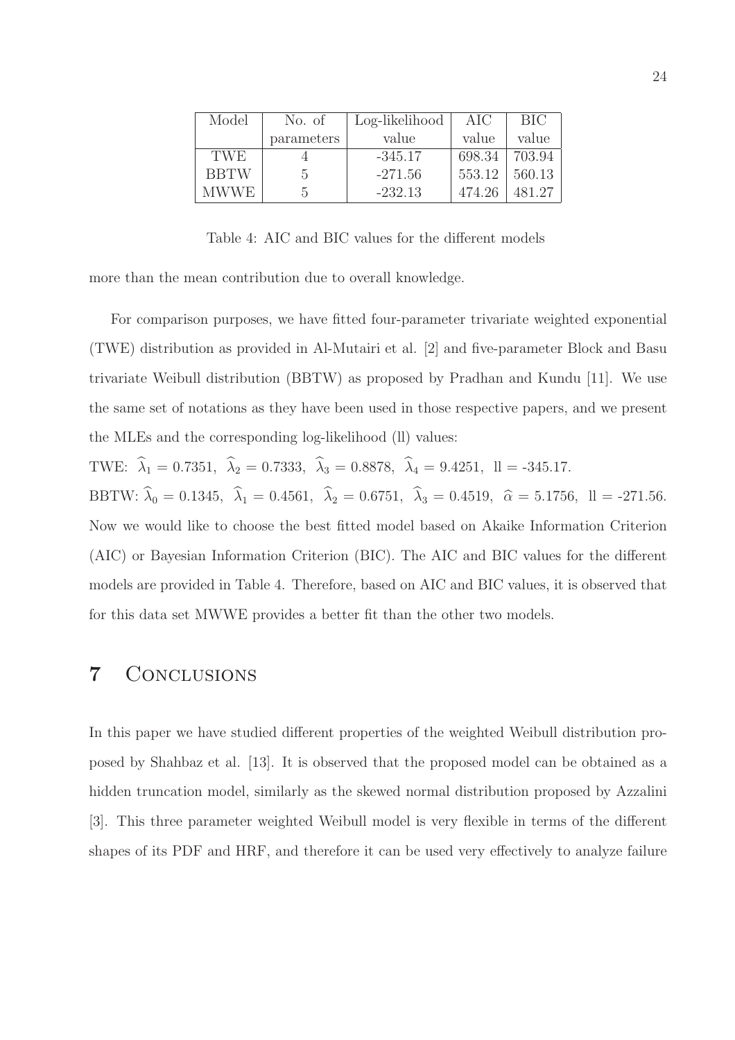| Model       | No. of     | Log-likelihood | AIC    | BIC.   |
|-------------|------------|----------------|--------|--------|
|             | parameters | value          | value  | value  |
| <b>TWE</b>  |            | $-345.17$      | 698.34 | 703.94 |
| <b>BBTW</b> | .5         | $-271.56$      | 553.12 | 560.13 |
| MWWE.       | h.         | $-232.13$      | 474.26 | 481.27 |

Table 4: AIC and BIC values for the different models

more than the mean contribution due to overall knowledge.

For comparison purposes, we have fitted four-parameter trivariate weighted exponential (TWE) distribution as provided in Al-Mutairi et al. [2] and five-parameter Block and Basu trivariate Weibull distribution (BBTW) as proposed by Pradhan and Kundu [11]. We use the same set of notations as they have been used in those respective papers, and we present the MLEs and the corresponding log-likelihood (ll) values:

TWE:  $\hat{\lambda}_1 = 0.7351$ ,  $\hat{\lambda}_2 = 0.7333$ ,  $\hat{\lambda}_3 = 0.8878$ ,  $\hat{\lambda}_4 = 9.4251$ ,  $ll = -345.17$ .

BBTW:  $\hat{\lambda}_0 = 0.1345$ ,  $\hat{\lambda}_1 = 0.4561$ ,  $\hat{\lambda}_2 = 0.6751$ ,  $\hat{\lambda}_3 = 0.4519$ ,  $\hat{\alpha} = 5.1756$ ,  $\Pi = -271.56$ . Now we would like to choose the best fitted model based on Akaike Information Criterion (AIC) or Bayesian Information Criterion (BIC). The AIC and BIC values for the different models are provided in Table 4. Therefore, based on AIC and BIC values, it is observed that for this data set MWWE provides a better fit than the other two models.

#### 7 Conclusions

In this paper we have studied different properties of the weighted Weibull distribution proposed by Shahbaz et al. [13]. It is observed that the proposed model can be obtained as a hidden truncation model, similarly as the skewed normal distribution proposed by Azzalini [3]. This three parameter weighted Weibull model is very flexible in terms of the different shapes of its PDF and HRF, and therefore it can be used very effectively to analyze failure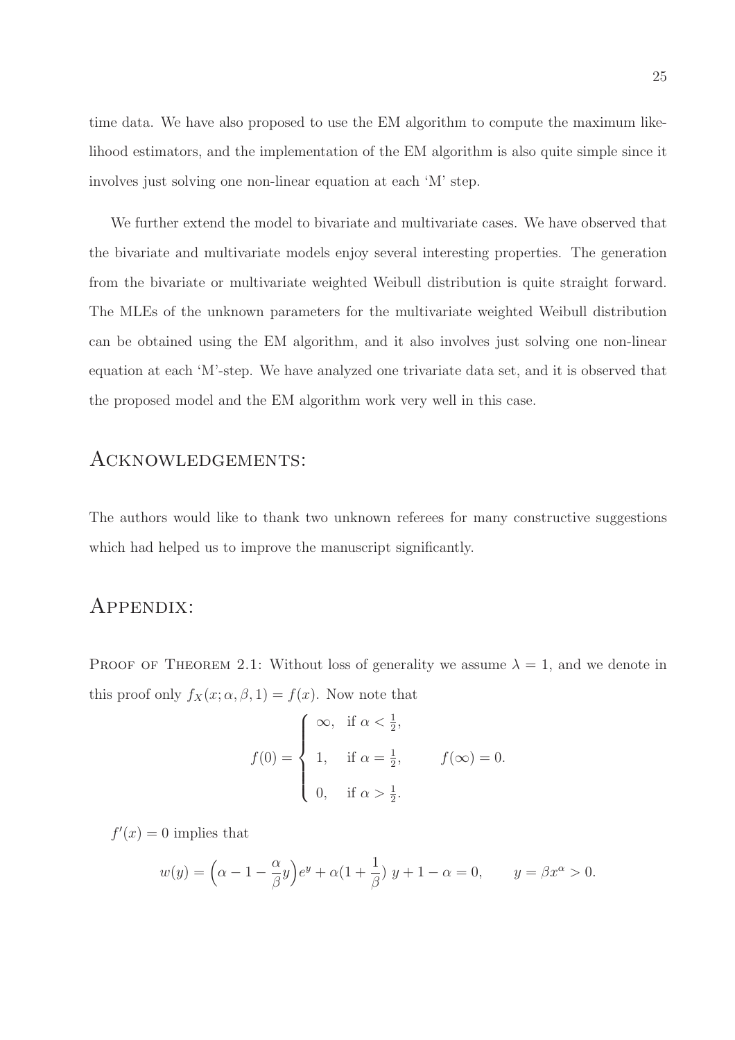time data. We have also proposed to use the EM algorithm to compute the maximum likelihood estimators, and the implementation of the EM algorithm is also quite simple since it involves just solving one non-linear equation at each 'M' step.

We further extend the model to bivariate and multivariate cases. We have observed that the bivariate and multivariate models enjoy several interesting properties. The generation from the bivariate or multivariate weighted Weibull distribution is quite straight forward. The MLEs of the unknown parameters for the multivariate weighted Weibull distribution can be obtained using the EM algorithm, and it also involves just solving one non-linear equation at each 'M'-step. We have analyzed one trivariate data set, and it is observed that the proposed model and the EM algorithm work very well in this case.

#### Acknowledgements:

The authors would like to thank two unknown referees for many constructive suggestions which had helped us to improve the manuscript significantly.

#### Appendix:

PROOF OF THEOREM 2.1: Without loss of generality we assume  $\lambda = 1$ , and we denote in this proof only  $f_X(x; \alpha, \beta, 1) = f(x)$ . Now note that

$$
f(0) = \begin{cases} \infty, & \text{if } \alpha < \frac{1}{2}, \\ 1, & \text{if } \alpha = \frac{1}{2}, \\ 0, & \text{if } \alpha > \frac{1}{2}. \end{cases} \qquad f(\infty) = 0.
$$

 $f'(x) = 0$  implies that

$$
w(y) = \left(\alpha - 1 - \frac{\alpha}{\beta}y\right)e^y + \alpha\left(1 + \frac{1}{\beta}\right)y + 1 - \alpha = 0, \qquad y = \beta x^{\alpha} > 0.
$$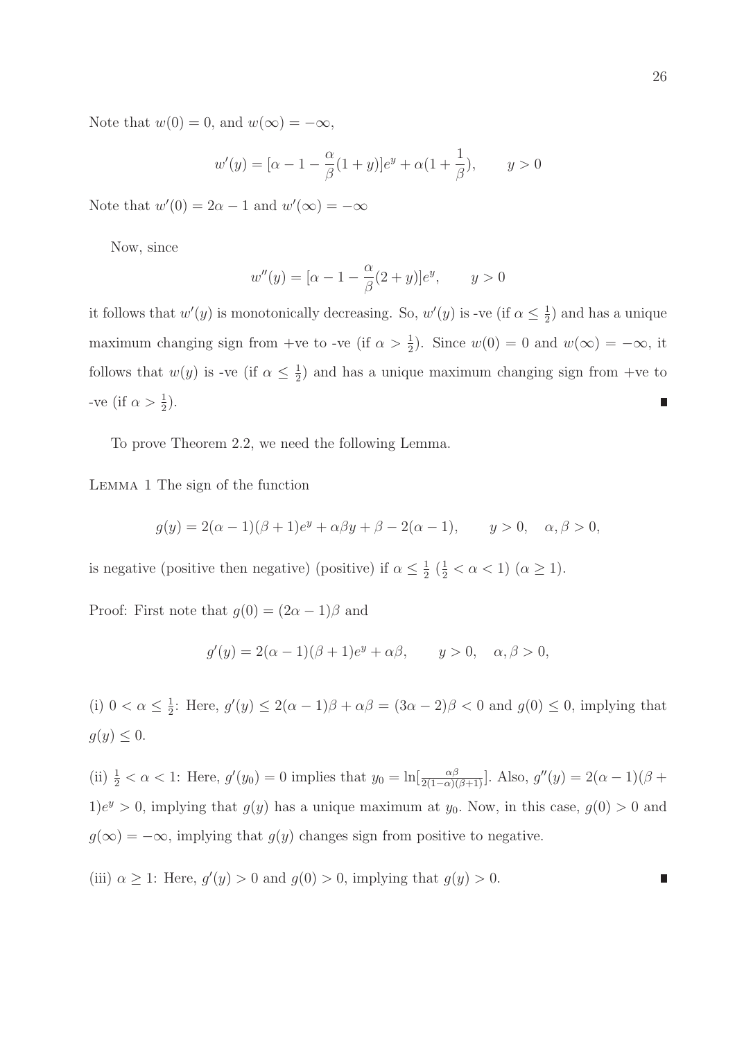Note that  $w(0) = 0$ , and  $w(\infty) = -\infty$ ,

$$
w'(y) = [\alpha - 1 - \frac{\alpha}{\beta}(1+y)]e^y + \alpha(1 + \frac{1}{\beta}), \qquad y > 0
$$

Note that  $w'(0) = 2\alpha - 1$  and  $w'(\infty) = -\infty$ 

Now, since

$$
w''(y) = [\alpha - 1 - \frac{\alpha}{\beta}(2 + y)]e^{y}, \qquad y > 0
$$

it follows that  $w'(y)$  is monotonically decreasing. So,  $w'(y)$  is -ve (if  $\alpha \leq \frac{1}{2}$ )  $(\frac{1}{2})$  and has a unique maximum changing sign from +ve to -ve (if  $\alpha > \frac{1}{2}$ ). Since  $w(0) = 0$  and  $w(\infty) = -\infty$ , it follows that  $w(y)$  is -ve (if  $\alpha \leq \frac{1}{2}$ )  $\frac{1}{2}$ ) and has a unique maximum changing sign from +ve to -ve (if  $\alpha > \frac{1}{2}$ ). Π

To prove Theorem 2.2, we need the following Lemma.

Lemma 1 The sign of the function

$$
g(y) = 2(\alpha - 1)(\beta + 1)e^{y} + \alpha \beta y + \beta - 2(\alpha - 1), \qquad y > 0, \quad \alpha, \beta > 0,
$$

is negative (positive then negative) (positive) if  $\alpha \leq \frac{1}{2}$  $\frac{1}{2} \left( \frac{1}{2} < \alpha < 1 \right) \left( \alpha \geq 1 \right)$ .

Proof: First note that  $g(0) = (2\alpha - 1)\beta$  and

$$
g'(y) = 2(\alpha - 1)(\beta + 1)e^y + \alpha \beta, \qquad y > 0, \quad \alpha, \beta > 0,
$$

(i)  $0 < \alpha \leq \frac{1}{2}$  $\frac{1}{2}$ : Here,  $g'(y) \leq 2(\alpha - 1)\beta + \alpha\beta = (3\alpha - 2)\beta < 0$  and  $g(0) \leq 0$ , implying that  $g(y) \leq 0.$ 

(ii)  $\frac{1}{2} < \alpha < 1$ : Here,  $g'(y_0) = 0$  implies that  $y_0 = \ln[\frac{\alpha\beta}{2(1-\alpha)(\beta+1)}]$ . Also,  $g''(y) = 2(\alpha-1)(\beta+1)$  $1)e^y > 0$ , implying that  $g(y)$  has a unique maximum at  $y_0$ . Now, in this case,  $g(0) > 0$  and  $g(\infty) = -\infty$ , implying that  $g(y)$  changes sign from positive to negative.

(iii)  $\alpha \geq 1$ : Here,  $g'(y) > 0$  and  $g(0) > 0$ , implying that  $g(y) > 0$ . П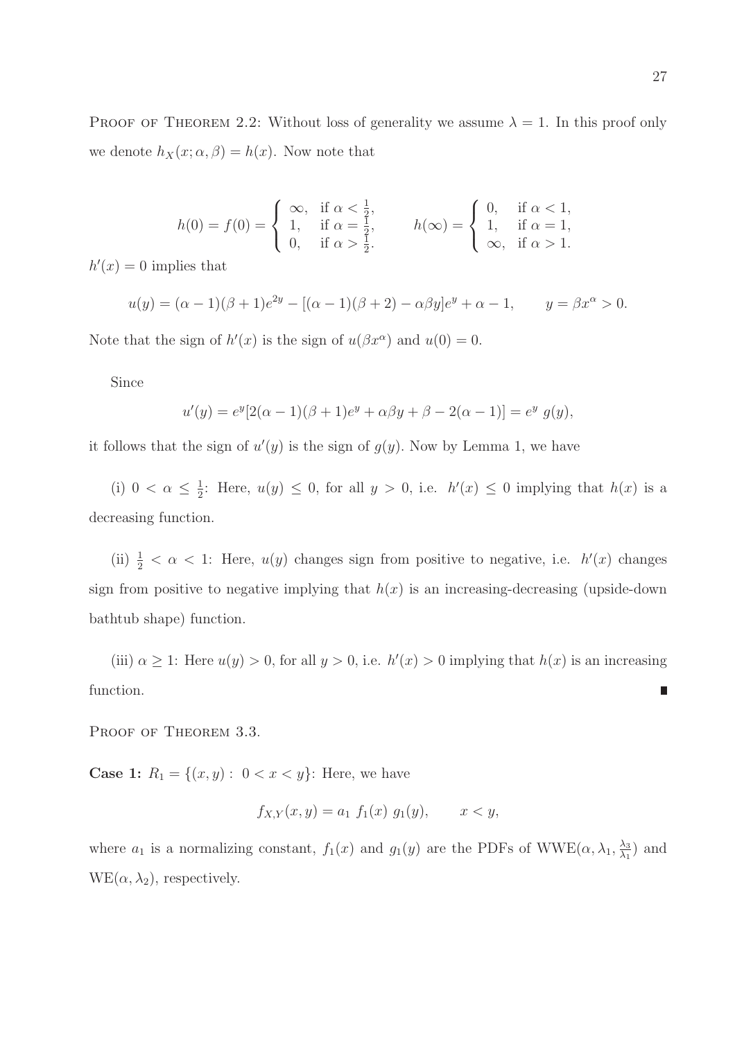$$
h(0) = f(0) = \begin{cases} \infty, & \text{if } \alpha < \frac{1}{2}, \\ 1, & \text{if } \alpha = \frac{1}{2}, \\ 0, & \text{if } \alpha > \frac{1}{2}. \end{cases} \qquad h(\infty) = \begin{cases} 0, & \text{if } \alpha < 1, \\ 1, & \text{if } \alpha = 1, \\ \infty, & \text{if } \alpha > 1. \end{cases}
$$

 $h'(x) = 0$  implies that

$$
u(y) = (\alpha - 1)(\beta + 1)e^{2y} - [(\alpha - 1)(\beta + 2) - \alpha \beta y]e^{y} + \alpha - 1, \qquad y = \beta x^{\alpha} > 0.
$$

Note that the sign of  $h'(x)$  is the sign of  $u(\beta x^{\alpha})$  and  $u(0) = 0$ .

Since

$$
u'(y) = e^y[2(\alpha - 1)(\beta + 1)e^y + \alpha \beta y + \beta - 2(\alpha - 1)] = e^y g(y),
$$

it follows that the sign of  $u'(y)$  is the sign of  $g(y)$ . Now by Lemma 1, we have

(i)  $0 < \alpha \leq \frac{1}{2}$  $\frac{1}{2}$ : Here,  $u(y) \leq 0$ , for all  $y > 0$ , i.e.  $h'(x) \leq 0$  implying that  $h(x)$  is a decreasing function.

(ii)  $\frac{1}{2} < \alpha < 1$ : Here,  $u(y)$  changes sign from positive to negative, i.e.  $h'(x)$  changes sign from positive to negative implying that  $h(x)$  is an increasing-decreasing (upside-down bathtub shape) function.

(iii)  $\alpha \geq 1$ : Here  $u(y) > 0$ , for all  $y > 0$ , i.e.  $h'(x) > 0$  implying that  $h(x)$  is an increasing function.  $\overline{\phantom{a}}$ 

PROOF OF THEOREM 3.3.

**Case 1:**  $R_1 = \{(x, y): 0 < x < y\}$ : Here, we have

$$
f_{X,Y}(x,y) = a_1 \ f_1(x) \ g_1(y), \qquad x < y,
$$

where  $a_1$  is a normalizing constant,  $f_1(x)$  and  $g_1(y)$  are the PDFs of WWE( $\alpha, \lambda_1, \frac{\lambda_3}{\lambda_1}$  $\frac{\lambda_3}{\lambda_1}$  and  $WE(\alpha, \lambda_2)$ , respectively.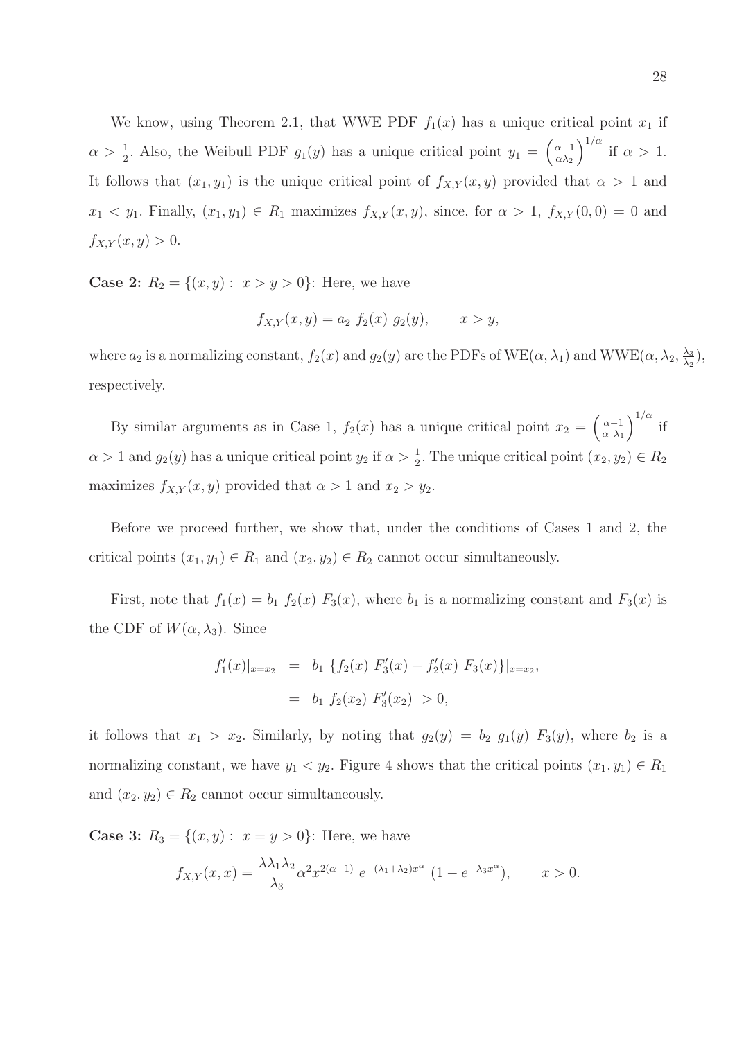We know, using Theorem 2.1, that WWE PDF  $f_1(x)$  has a unique critical point  $x_1$  if  $\alpha > \frac{1}{2}$ . Also, the Weibull PDF  $g_1(y)$  has a unique critical point  $y_1 = \left(\frac{\alpha - 1}{\alpha \lambda_2}\right)$  $\alpha\lambda_2$  $\int_0^{1/\alpha}$  if  $\alpha > 1$ . It follows that  $(x_1, y_1)$  is the unique critical point of  $f_{X,Y}(x, y)$  provided that  $\alpha > 1$  and  $x_1 \leq y_1$ . Finally,  $(x_1, y_1) \in R_1$  maximizes  $f_{X,Y}(x, y)$ , since, for  $\alpha > 1$ ,  $f_{X,Y}(0, 0) = 0$  and  $f_{X,Y}(x, y) > 0.$ 

**Case 2:**  $R_2 = \{(x, y): x > y > 0\}$ : Here, we have

$$
f_{X,Y}(x,y) = a_2 \ f_2(x) \ g_2(y), \qquad x > y,
$$

where  $a_2$  is a normalizing constant,  $f_2(x)$  and  $g_2(y)$  are the PDFs of WE( $\alpha$ ,  $\lambda_1$ ) and WWE( $\alpha$ ,  $\lambda_2$ ,  $\frac{\lambda_3}{\lambda_2}$  $\frac{\lambda_3}{\lambda_2}$ , respectively.

By similar arguments as in Case 1,  $f_2(x)$  has a unique critical point  $x_2 = \left(\frac{\alpha - 1}{\alpha \lambda_1}\right)$  $\alpha$   $\lambda_1$  $\int^{1/\alpha}$  if  $\alpha > 1$  and  $g_2(y)$  has a unique critical point  $y_2$  if  $\alpha > \frac{1}{2}$ . The unique critical point  $(x_2, y_2) \in R_2$ maximizes  $f_{X,Y}(x, y)$  provided that  $\alpha > 1$  and  $x_2 > y_2$ .

Before we proceed further, we show that, under the conditions of Cases 1 and 2, the critical points  $(x_1, y_1) \in R_1$  and  $(x_2, y_2) \in R_2$  cannot occur simultaneously.

First, note that  $f_1(x) = b_1 f_2(x) F_3(x)$ , where  $b_1$  is a normalizing constant and  $F_3(x)$  is the CDF of  $W(\alpha, \lambda_3)$ . Since

$$
f'_1(x)|_{x=x_2} = b_1 \{ f_2(x) F'_3(x) + f'_2(x) F_3(x) \}|_{x=x_2},
$$
  
=  $b_1 f_2(x_2) F'_3(x_2) > 0,$ 

it follows that  $x_1 > x_2$ . Similarly, by noting that  $g_2(y) = b_2$   $g_1(y)$   $F_3(y)$ , where  $b_2$  is a normalizing constant, we have  $y_1 < y_2$ . Figure 4 shows that the critical points  $(x_1, y_1) \in R_1$ and  $(x_2, y_2) \in R_2$  cannot occur simultaneously.

**Case 3:**  $R_3 = \{(x, y) : x = y > 0\}$ : Here, we have

$$
f_{X,Y}(x,x) = \frac{\lambda \lambda_1 \lambda_2}{\lambda_3} \alpha^2 x^{2(\alpha - 1)} e^{-(\lambda_1 + \lambda_2)x^{\alpha}} (1 - e^{-\lambda_3 x^{\alpha}}), \qquad x > 0.
$$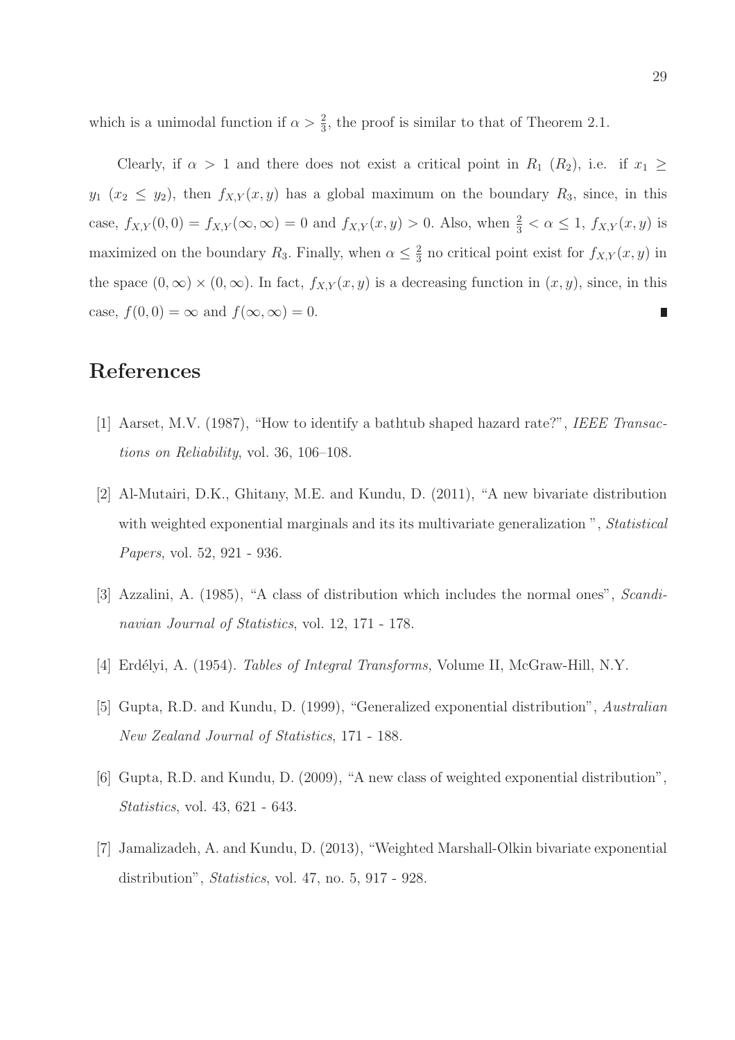which is a unimodal function if  $\alpha > \frac{2}{3}$ , the proof is similar to that of Theorem 2.1.

Clearly, if  $\alpha > 1$  and there does not exist a critical point in  $R_1$  ( $R_2$ ), i.e. if  $x_1 \ge$  $y_1$   $(x_2 \le y_2)$ , then  $f_{X,Y}(x, y)$  has a global maximum on the boundary  $R_3$ , since, in this case,  $f_{X,Y}(0,0) = f_{X,Y}(\infty,\infty) = 0$  and  $f_{X,Y}(x,y) > 0$ . Also, when  $\frac{2}{3} < \alpha \leq 1$ ,  $f_{X,Y}(x,y)$  is maximized on the boundary  $R_3$ . Finally, when  $\alpha \leq \frac{2}{3}$  $\frac{2}{3}$  no critical point exist for  $f_{X,Y}(x, y)$  in the space  $(0, \infty) \times (0, \infty)$ . In fact,  $f_{X,Y}(x, y)$  is a decreasing function in  $(x, y)$ , since, in this case,  $f(0, 0) = \infty$  and  $f(\infty, \infty) = 0$ .

#### References

- [1] Aarset, M.V. (1987), "How to identify a bathtub shaped hazard rate?", IEEE Transactions on Reliability, vol. 36, 106–108.
- [2] Al-Mutairi, D.K., Ghitany, M.E. and Kundu, D. (2011), "A new bivariate distribution with weighted exponential marginals and its its multivariate generalization", Statistical Papers, vol. 52, 921 - 936.
- [3] Azzalini, A. (1985), "A class of distribution which includes the normal ones", Scandinavian Journal of Statistics, vol. 12, 171 - 178.
- [4] Erdélyi, A. (1954). *Tables of Integral Transforms*, Volume II, McGraw-Hill, N.Y.
- [5] Gupta, R.D. and Kundu, D. (1999), "Generalized exponential distribution", Australian New Zealand Journal of Statistics, 171 - 188.
- [6] Gupta, R.D. and Kundu, D. (2009), "A new class of weighted exponential distribution", Statistics, vol. 43, 621 - 643.
- [7] Jamalizadeh, A. and Kundu, D. (2013), "Weighted Marshall-Olkin bivariate exponential distribution", *Statistics*, vol. 47, no. 5, 917 - 928.